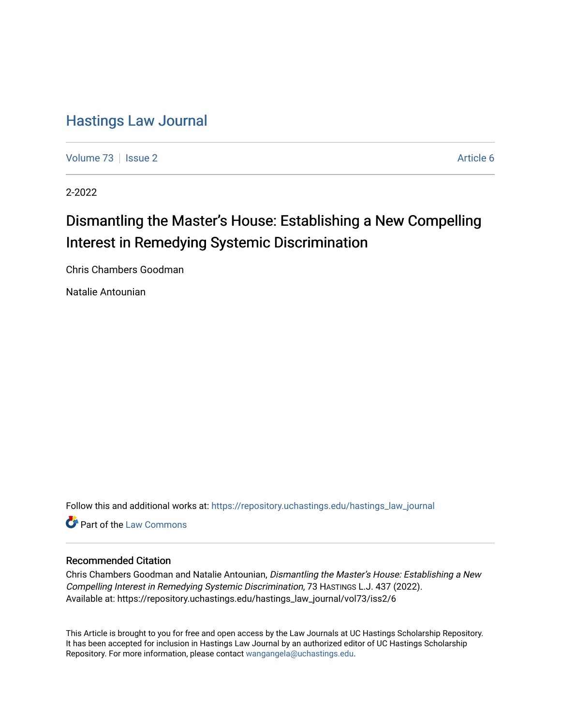## [Hastings Law Journal](https://repository.uchastings.edu/hastings_law_journal)

[Volume 73](https://repository.uchastings.edu/hastings_law_journal/vol73) | [Issue 2](https://repository.uchastings.edu/hastings_law_journal/vol73/iss2) Article 6

2-2022

# Dismantling the Master's House: Establishing a New Compelling Interest in Remedying Systemic Discrimination

Chris Chambers Goodman

Natalie Antounian

Follow this and additional works at: [https://repository.uchastings.edu/hastings\\_law\\_journal](https://repository.uchastings.edu/hastings_law_journal?utm_source=repository.uchastings.edu%2Fhastings_law_journal%2Fvol73%2Fiss2%2F6&utm_medium=PDF&utm_campaign=PDFCoverPages) 

**C** Part of the [Law Commons](http://network.bepress.com/hgg/discipline/578?utm_source=repository.uchastings.edu%2Fhastings_law_journal%2Fvol73%2Fiss2%2F6&utm_medium=PDF&utm_campaign=PDFCoverPages)

## Recommended Citation

Chris Chambers Goodman and Natalie Antounian, Dismantling the Master's House: Establishing a New Compelling Interest in Remedying Systemic Discrimination, 73 HASTINGS L.J. 437 (2022). Available at: https://repository.uchastings.edu/hastings\_law\_journal/vol73/iss2/6

This Article is brought to you for free and open access by the Law Journals at UC Hastings Scholarship Repository. It has been accepted for inclusion in Hastings Law Journal by an authorized editor of UC Hastings Scholarship Repository. For more information, please contact [wangangela@uchastings.edu](mailto:wangangela@uchastings.edu).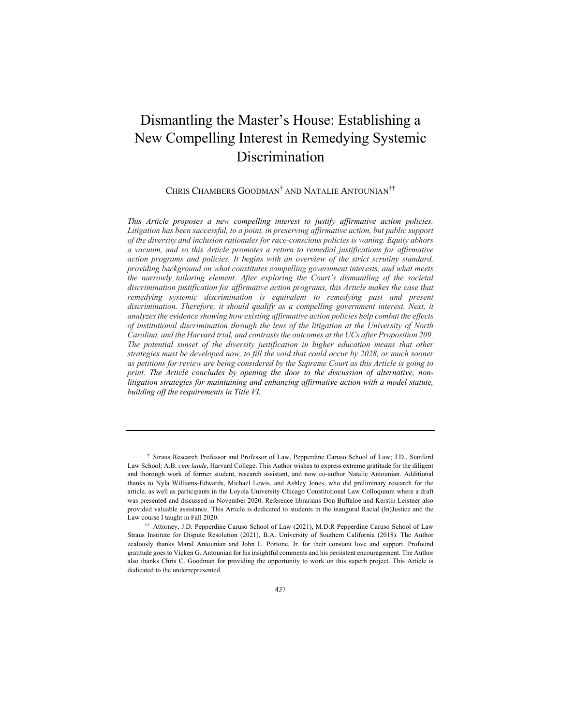## Dismantling the Master's House: Establishing a New Compelling Interest in Remedying Systemic **Discrimination**

CHRIS CHAMBERS GOODMAN† AND NATALIE ANTOUNIAN††

*This Article proposes a new compelling interest to justify affirmative action policies. Litigation has been successful, to a point, in preserving affirmative action, but public support of the diversity and inclusion rationales for race-conscious policies is waning. Equity abhors a vacuum, and so this Article promotes a return to remedial justifications for affirmative action programs and policies. It begins with an overview of the strict scrutiny standard, providing background on what constitutes compelling government interests, and what meets the narrowly tailoring element. After exploring the Court's dismantling of the societal discrimination justification for affirmative action programs, this Article makes the case that remedying systemic discrimination is equivalent to remedying past and present discrimination. Therefore, it should qualify as a compelling government interest. Next, it analyzes the evidence showing how existing affirmative action policies help combat the effects of institutional discrimination through the lens of the litigation at the University of North Carolina, and the Harvard trial, and contrasts the outcomes at the UCs after Proposition 209. The potential sunset of the diversity justification in higher education means that other strategies must be developed now, to fill the void that could occur by 2028, or much sooner as petitions for review are being considered by the Supreme Court as this Article is going to print. The Article concludes by opening the door to the discussion of alternative, nonlitigation strategies for maintaining and enhancing affirmative action with a model statute, building off the requirements in Title VI.*

<sup>†</sup> Straus Research Professor and Professor of Law, Pepperdine Caruso School of Law; J.D., Stanford Law School; A.B. *cum laude*, Harvard College. This Author wishes to express extreme gratitude for the diligent and thorough work of former student, research assistant, and now co-author Natalie Antounian. Additional thanks to Nyla Williams-Edwards, Michael Lewis, and Ashley Jones, who did preliminary research for the article, as well as participants in the Loyola University Chicago Constitutional Law Colloquium where a draft was presented and discussed in November 2020. Reference librarians Don Buffaloe and Kerstin Leistner also provided valuable assistance. This Article is dedicated to students in the inaugural Racial (In)Justice and the Law course I taught in Fall 2020.

<sup>††</sup> Attorney, J.D. Pepperdine Caruso School of Law (2021), M.D.R Pepperdine Caruso School of Law Straus Institute for Dispute Resolution (2021), B.A. University of Southern California (2018). The Author zealously thanks Maral Antounian and John L. Portone, Jr. for their constant love and support. Profound gratitude goes to Vicken G. Antounian for his insightful comments and his persistent encouragement. The Author also thanks Chris C. Goodman for providing the opportunity to work on this superb project. This Article is dedicated to the underrepresented.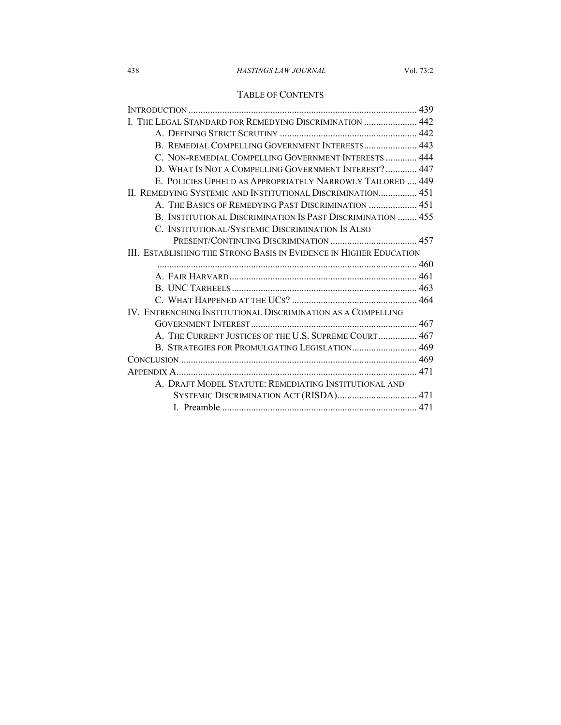## TABLE OF CONTENTS

| THE LEGAL STANDARD FOR REMEDYING DISCRIMINATION  442               |
|--------------------------------------------------------------------|
|                                                                    |
|                                                                    |
| C. NON-REMEDIAL COMPELLING GOVERNMENT INTERESTS  444               |
| D. WHAT IS NOT A COMPELLING GOVERNMENT INTEREST?  447              |
| E. POLICIES UPHELD AS APPROPRIATELY NARROWLY TAILORED  449         |
| II. REMEDYING SYSTEMIC AND INSTITUTIONAL DISCRIMINATION 451        |
| A. THE BASICS OF REMEDYING PAST DISCRIMINATION  451                |
| B. INSTITUTIONAL DISCRIMINATION IS PAST DISCRIMINATION  455        |
| C. INSTITUTIONAL/SYSTEMIC DISCRIMINATION IS ALSO                   |
|                                                                    |
| III. ESTABLISHING THE STRONG BASIS IN EVIDENCE IN HIGHER EDUCATION |
|                                                                    |
|                                                                    |
|                                                                    |
|                                                                    |
|                                                                    |
| IV. ENTRENCHING INSTITUTIONAL DISCRIMINATION AS A COMPELLING       |
|                                                                    |
| A. THE CURRENT JUSTICES OF THE U.S. SUPREME COURT 467              |
|                                                                    |
|                                                                    |
|                                                                    |
| A. DRAFT MODEL STATUTE: REMEDIATING INSTITUTIONAL AND              |
|                                                                    |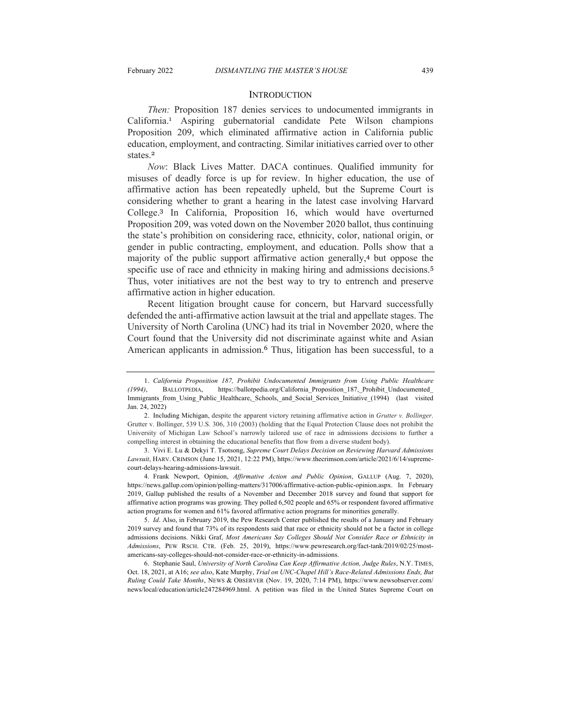#### **INTRODUCTION**

*Then:* Proposition 187 denies services to undocumented immigrants in California.<sup>1</sup> Aspiring gubernatorial candidate Pete Wilson champions Proposition 209, which eliminated affirmative action in California public education, employment, and contracting. Similar initiatives carried over to other states.<sup>2</sup>

*Now*: Black Lives Matter. DACA continues. Qualified immunity for misuses of deadly force is up for review. In higher education, the use of affirmative action has been repeatedly upheld, but the Supreme Court is considering whether to grant a hearing in the latest case involving Harvard College.<sup>3</sup> In California, Proposition 16, which would have overturned Proposition 209, was voted down on the November 2020 ballot, thus continuing the state's prohibition on considering race, ethnicity, color, national origin, or gender in public contracting, employment, and education. Polls show that a majority of the public support affirmative action generally,<sup>4</sup> but oppose the specific use of race and ethnicity in making hiring and admissions decisions.<sup>5</sup> Thus, voter initiatives are not the best way to try to entrench and preserve affirmative action in higher education.

Recent litigation brought cause for concern, but Harvard successfully defended the anti-affirmative action lawsuit at the trial and appellate stages. The University of North Carolina (UNC) had its trial in November 2020, where the Court found that the University did not discriminate against white and Asian American applicants in admission. <sup>6</sup> Thus, litigation has been successful, to a

4. Frank Newport, Opinion, *Affirmative Action and Public Opinion*, GALLUP (Aug. 7, 2020), https://news.gallup.com/opinion/polling-matters/317006/affirmative-action-public-opinion.aspx. In February 2019, Gallup published the results of a November and December 2018 survey and found that support for affirmative action programs was growing. They polled 6,502 people and 65% or respondent favored affirmative action programs for women and 61% favored affirmative action programs for minorities generally.

5. *Id*. Also, in February 2019, the Pew Research Center published the results of a January and February 2019 survey and found that 73% of its respondents said that race or ethnicity should not be a factor in college admissions decisions. Nikki Graf, *Most Americans Say Colleges Should Not Consider Race or Ethnicity in Admissions*, PEW RSCH. CTR. (Feb. 25, 2019), https://www.pewresearch.org/fact-tank/2019/02/25/mostamericans-say-colleges-should-not-consider-race-or-ethnicity-in-admissions.

6. Stephanie Saul, *University of North Carolina Can Keep Affirmative Action, Judge Rules*, N.Y. TIMES, Oct. 18, 2021, at A16; *see also*, Kate Murphy, *Trial on UNC-Chapel Hill's Race-Related Admissions Ends, But Ruling Could Take Months*, NEWS & OBSERVER (Nov. 19, 2020, 7:14 PM), https://www.newsobserver.com/ news/local/education/article247284969.html. A petition was filed in the United States Supreme Court on

<sup>1</sup>. *California Proposition 187, Prohibit Undocumented Immigrants from Using Public Healthcare (1994)*, BALLOTPEDIA, https://ballotpedia.org/California\_Proposition\_187,\_Prohibit\_Undocumented\_ Immigrants\_from\_Using\_Public\_Healthcare,\_Schools,\_and\_Social\_Services\_Initiative\_(1994) (last visited Jan. 24, 2022)

<sup>2.</sup> Including Michigan, despite the apparent victory retaining affirmative action in *Grutter v. Bollinger*. Grutter v. Bollinger, 539 U.S. 306, 310 (2003) (holding that the Equal Protection Clause does not prohibit the University of Michigan Law School's narrowly tailored use of race in admissions decisions to further a compelling interest in obtaining the educational benefits that flow from a diverse student body).

<sup>3.</sup> Vivi E. Lu & Dekyi T. Tsotsong, *Supreme Court Delays Decision on Reviewing Harvard Admissions Lawsuit*, HARV. CRIMSON (June 15, 2021, 12:22 PM), https://www.thecrimson.com/article/2021/6/14/supremecourt-delays-hearing-admissions-lawsuit.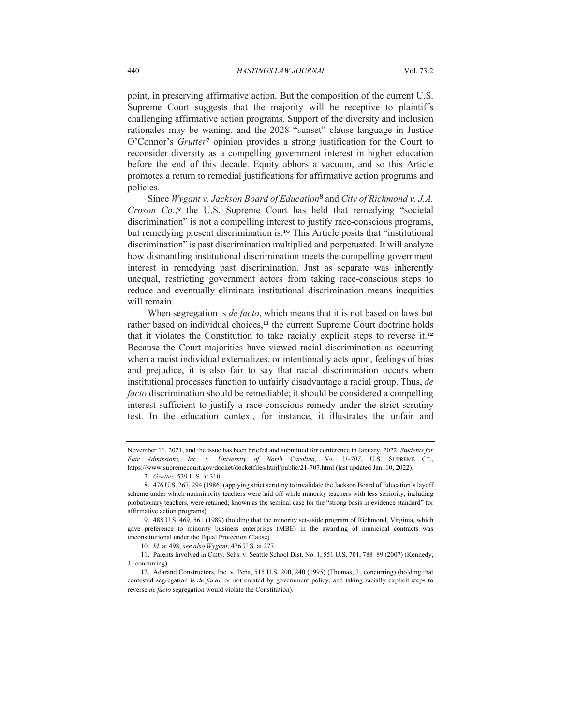point, in preserving affirmative action. But the composition of the current U.S. Supreme Court suggests that the majority will be receptive to plaintiffs challenging affirmative action programs. Support of the diversity and inclusion rationales may be waning, and the 2028 "sunset" clause language in Justice O'Connor's *Grutter*<sup>7</sup> opinion provides a strong justification for the Court to reconsider diversity as a compelling government interest in higher education before the end of this decade. Equity abhors a vacuum, and so this Article promotes a return to remedial justifications for affirmative action programs and policies.

Since *Wygant v. Jackson Board of Education*<sup>8</sup> and *City of Richmond v. J.A. Croson Co.*, <sup>9</sup> the U.S. Supreme Court has held that remedying "societal discrimination" is not a compelling interest to justify race-conscious programs, but remedying present discrimination is.<sup>10</sup> This Article posits that "institutional discrimination" is past discrimination multiplied and perpetuated. It will analyze how dismantling institutional discrimination meets the compelling government interest in remedying past discrimination. Just as separate was inherently unequal, restricting government actors from taking race-conscious steps to reduce and eventually eliminate institutional discrimination means inequities will remain.

When segregation is *de facto*, which means that it is not based on laws but rather based on individual choices,<sup>11</sup> the current Supreme Court doctrine holds that it violates the Constitution to take racially explicit steps to reverse it.<sup>12</sup> Because the Court majorities have viewed racial discrimination as occurring when a racist individual externalizes, or intentionally acts upon, feelings of bias and prejudice, it is also fair to say that racial discrimination occurs when institutional processes function to unfairly disadvantage a racial group. Thus, *de facto* discrimination should be remediable; it should be considered a compelling interest sufficient to justify a race-conscious remedy under the strict scrutiny test. In the education context, for instance, it illustrates the unfair and

November 11, 2021, and the issue has been briefed and submitted for conference in January, 2022. *Students for Fair Admissions, Inc. v. University of North Carolina, No. 21-707*, U.S. SUPREME CT., https://www.supremecourt.gov/docket/docketfiles/html/public/21-707.html (last updated Jan. 10, 2022).

<sup>7.</sup> *Grutter*, 539 U.S. at 310.

<sup>8.</sup> 476 U.S. 267, 294 (1986) (applying strict scrutiny to invalidate the Jackson Board of Education's layoff scheme under which nonminority teachers were laid off while minority teachers with less seniority, including probationary teachers, were retained; known as the seminal case for the "strong basis in evidence standard" for affirmative action programs).

<sup>9.</sup> 488 U.S. 469, 561 (1989) (holding that the minority set-aside program of Richmond, Virginia, which gave preference to minority business enterprises (MBE) in the awarding of municipal contracts was unconstitutional under the Equal Protection Clause).

<sup>10.</sup> *Id.* at 498; *see also Wygant*, 476 U.S. at 277.

<sup>11.</sup> Parents Involved in Cmty. Schs. v. Seattle School Dist. No. 1, 551 U.S. 701, 788–89 (2007) (Kennedy, J., concurring).

<sup>12.</sup> Adarand Constructors, Inc. v. Peña, 515 U.S. 200, 240 (1995) (Thomas, J., concurring) (holding that contested segregation is *de facto,* or not created by government policy, and taking racially explicit steps to reverse *de facto* segregation would violate the Constitution).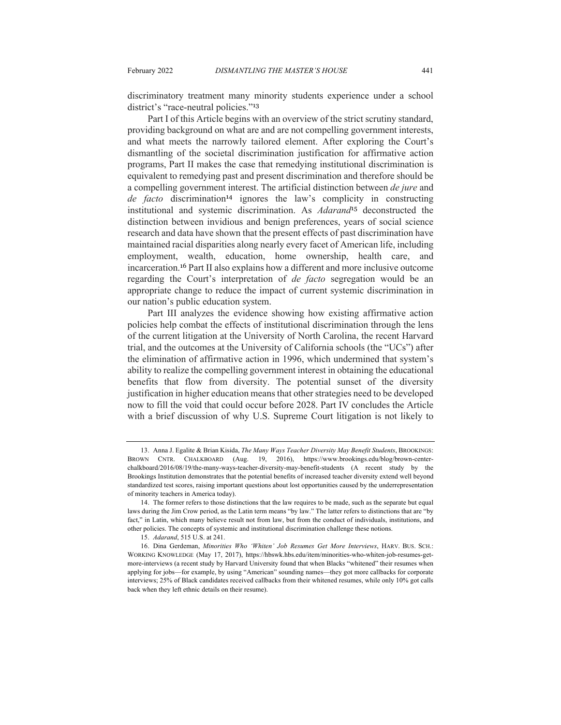discriminatory treatment many minority students experience under a school district's "race-neutral policies."<sup>13</sup>

Part I of this Article begins with an overview of the strict scrutiny standard, providing background on what are and are not compelling government interests, and what meets the narrowly tailored element. After exploring the Court's dismantling of the societal discrimination justification for affirmative action programs, Part II makes the case that remedying institutional discrimination is equivalent to remedying past and present discrimination and therefore should be a compelling government interest. The artificial distinction between *de jure* and *de facto* discrimination<sup>14</sup> ignores the law's complicity in constructing institutional and systemic discrimination. As *Adarand*<sup>15</sup> deconstructed the distinction between invidious and benign preferences, years of social science research and data have shown that the present effects of past discrimination have maintained racial disparities along nearly every facet of American life, including employment, wealth, education, home ownership, health care, and incarceration.<sup>16</sup> Part II also explains how a different and more inclusive outcome regarding the Court's interpretation of *de facto* segregation would be an appropriate change to reduce the impact of current systemic discrimination in our nation's public education system.

Part III analyzes the evidence showing how existing affirmative action policies help combat the effects of institutional discrimination through the lens of the current litigation at the University of North Carolina, the recent Harvard trial, and the outcomes at the University of California schools (the "UCs") after the elimination of affirmative action in 1996, which undermined that system's ability to realize the compelling government interest in obtaining the educational benefits that flow from diversity. The potential sunset of the diversity justification in higher education means that other strategies need to be developed now to fill the void that could occur before 2028. Part IV concludes the Article with a brief discussion of why U.S. Supreme Court litigation is not likely to

<sup>13.</sup> Anna J. Egalite & Brian Kisida, *The Many Ways Teacher Diversity May Benefit Students*, BROOKINGS: BROWN CNTR. CHALKBOARD (Aug. 19, 2016), https://www.brookings.edu/blog/brown-centerchalkboard/2016/08/19/the-many-ways-teacher-diversity-may-benefit-students (A recent study by the Brookings Institution demonstrates that the potential benefits of increased teacher diversity extend well beyond standardized test scores, raising important questions about lost opportunities caused by the underrepresentation of minority teachers in America today).

<sup>14.</sup> The former refers to those distinctions that the law requires to be made, such as the separate but equal laws during the Jim Crow period, as the Latin term means "by law." The latter refers to distinctions that are "by fact," in Latin, which many believe result not from law, but from the conduct of individuals, institutions, and other policies. The concepts of systemic and institutional discrimination challenge these notions.

<sup>15.</sup> *Adarand*, 515 U.S. at 241.

<sup>16.</sup> Dina Gerdeman, *Minorities Who 'Whiten' Job Resumes Get More Interviews*, HARV. BUS. SCH.: WORKING KNOWLEDGE (May 17, 2017), https://hbswk.hbs.edu/item/minorities-who-whiten-job-resumes-getmore-interviews (a recent study by Harvard University found that when Blacks "whitened" their resumes when applying for jobs—for example, by using "American" sounding names—they got more callbacks for corporate interviews; 25% of Black candidates received callbacks from their whitened resumes, while only 10% got calls back when they left ethnic details on their resume).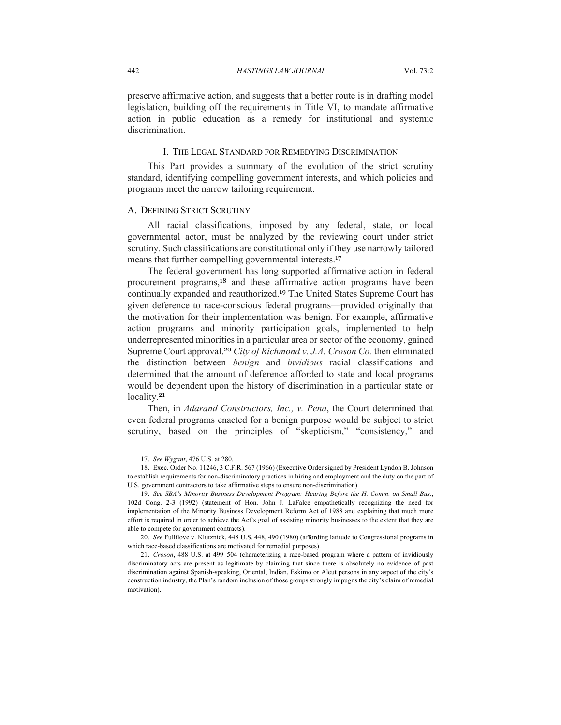preserve affirmative action, and suggests that a better route is in drafting model legislation, building off the requirements in Title VI, to mandate affirmative action in public education as a remedy for institutional and systemic discrimination.

## I. THE LEGAL STANDARD FOR REMEDYING DISCRIMINATION

This Part provides a summary of the evolution of the strict scrutiny standard, identifying compelling government interests, and which policies and programs meet the narrow tailoring requirement.

## A. DEFINING STRICT SCRUTINY

All racial classifications, imposed by any federal, state, or local governmental actor, must be analyzed by the reviewing court under strict scrutiny. Such classifications are constitutional only if they use narrowly tailored means that further compelling governmental interests.<sup>17</sup>

The federal government has long supported affirmative action in federal procurement programs,<sup>18</sup> and these affirmative action programs have been continually expanded and reauthorized.<sup>19</sup> The United States Supreme Court has given deference to race-conscious federal programs—provided originally that the motivation for their implementation was benign. For example, affirmative action programs and minority participation goals, implemented to help underrepresented minorities in a particular area or sector of the economy, gained Supreme Court approval.<sup>20</sup> *City of Richmond v. J.A. Croson Co.* then eliminated the distinction between *benign* and *invidious* racial classifications and determined that the amount of deference afforded to state and local programs would be dependent upon the history of discrimination in a particular state or locality.<sup>21</sup>

Then, in *Adarand Constructors, Inc., v. Pena*, the Court determined that even federal programs enacted for a benign purpose would be subject to strict scrutiny, based on the principles of "skepticism," "consistency," and

<sup>17.</sup> *See Wygant*, 476 U.S. at 280.

<sup>18.</sup> Exec. Order No. 11246, 3 C.F.R. 567 (1966) (Executive Order signed by President Lyndon B. Johnson to establish requirements for non-discriminatory practices in hiring and employment and the duty on the part of U.S. government contractors to take affirmative steps to ensure non-discrimination).

<sup>19.</sup> *See SBA's Minority Business Development Program: Hearing Before the H. Comm. on Small Bus.*, 102d Cong. 2-3 (1992) (statement of Hon. John J. LaFalce empathetically recognizing the need for implementation of the Minority Business Development Reform Act of 1988 and explaining that much more effort is required in order to achieve the Act's goal of assisting minority businesses to the extent that they are able to compete for government contracts).

<sup>20.</sup> *See* Fullilove v. Klutznick, 448 U.S. 448, 490 (1980) (affording latitude to Congressional programs in which race-based classifications are motivated for remedial purposes).

<sup>21.</sup> *Croson*, 488 U.S. at 499–504 (characterizing a race-based program where a pattern of invidiously discriminatory acts are present as legitimate by claiming that since there is absolutely no evidence of past discrimination against Spanish-speaking, Oriental, Indian, Eskimo or Aleut persons in any aspect of the city's construction industry, the Plan's random inclusion of those groups strongly impugns the city's claim of remedial motivation).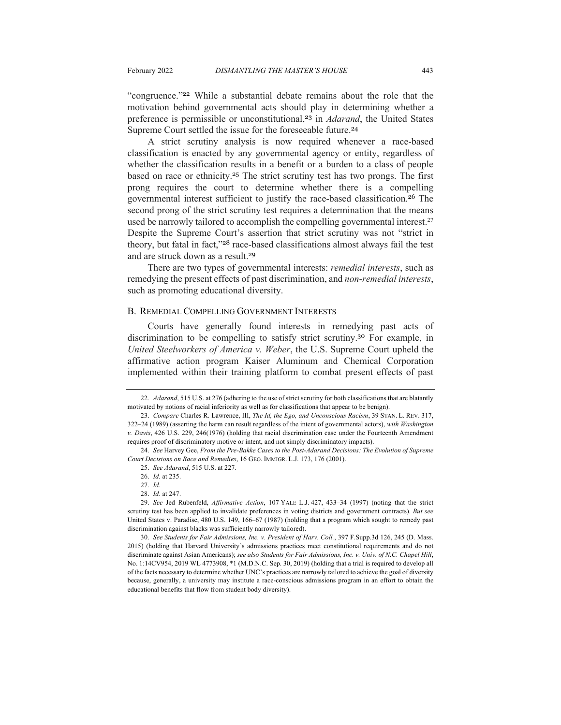"congruence."<sup>22</sup> While a substantial debate remains about the role that the motivation behind governmental acts should play in determining whether a preference is permissible or unconstitutional,<sup>23</sup> in *Adarand*, the United States Supreme Court settled the issue for the foreseeable future.<sup>24</sup>

A strict scrutiny analysis is now required whenever a race-based classification is enacted by any governmental agency or entity, regardless of whether the classification results in a benefit or a burden to a class of people based on race or ethnicity.<sup>25</sup> The strict scrutiny test has two prongs. The first prong requires the court to determine whether there is a compelling governmental interest sufficient to justify the race-based classification.<sup>26</sup> The second prong of the strict scrutiny test requires a determination that the means used be narrowly tailored to accomplish the compelling governmental interest.<sup>27</sup> Despite the Supreme Court's assertion that strict scrutiny was not "strict in theory, but fatal in fact,"<sup>28</sup> race-based classifications almost always fail the test and are struck down as a result.<sup>29</sup>

There are two types of governmental interests: *remedial interests*, such as remedying the present effects of past discrimination, and *non-remedial interests*, such as promoting educational diversity.

## B. REMEDIAL COMPELLING GOVERNMENT INTERESTS

Courts have generally found interests in remedying past acts of discrimination to be compelling to satisfy strict scrutiny.<sup>30</sup> For example, in *United Steelworkers of America v. Weber*, the U.S. Supreme Court upheld the affirmative action program Kaiser Aluminum and Chemical Corporation implemented within their training platform to combat present effects of past

28. *Id*. at 247.

<sup>22.</sup> *Adarand*, 515 U.S. at 276 (adhering to the use of strict scrutiny for both classifications that are blatantly motivated by notions of racial inferiority as well as for classifications that appear to be benign).

<sup>23.</sup> *Compare* Charles R. Lawrence, III, *The Id, the Ego, and Unconscious Racism*, 39 STAN. L. REV. 317, 322–24 (1989) (asserting the harm can result regardless of the intent of governmental actors), *with Washington v. Davis*, 426 U.S. 229, 246(1976) (holding that racial discrimination case under the Fourteenth Amendment requires proof of discriminatory motive or intent, and not simply discriminatory impacts).

<sup>24.</sup> *See* Harvey Gee, *From the Pre-Bakke Cases to the Post-Adarand Decisions: The Evolution of Supreme Court Decisions on Race and Remedies*, 16 GEO. IMMIGR. L.J. 173, 176 (2001).

<sup>25.</sup> *See Adarand*, 515 U.S. at 227.

<sup>26.</sup> *Id.* at 235.

<sup>27</sup>. *Id.*

<sup>29.</sup> *See* Jed Rubenfeld, *Affirmative Action*, 107 YALE L.J. 427, 433–34 (1997) (noting that the strict scrutiny test has been applied to invalidate preferences in voting districts and government contracts). *But see*  United States v. Paradise, 480 U.S. 149, 166–67 (1987) (holding that a program which sought to remedy past discrimination against blacks was sufficiently narrowly tailored).

<sup>30.</sup> *See Students for Fair Admissions, Inc. v. President of Harv. Coll.*, 397 F.Supp.3d 126, 245 (D. Mass. 2015) (holding that Harvard University's admissions practices meet constitutional requirements and do not discriminate against Asian Americans); *see also Students for Fair Admissions, Inc. v. Univ. of N.C. Chapel Hill*, No. 1:14CV954, 2019 WL 4773908, \*1 (M.D.N.C. Sep. 30, 2019) (holding that a trial is required to develop all of the facts necessary to determine whether UNC's practices are narrowly tailored to achieve the goal of diversity because, generally, a university may institute a race-conscious admissions program in an effort to obtain the educational benefits that flow from student body diversity).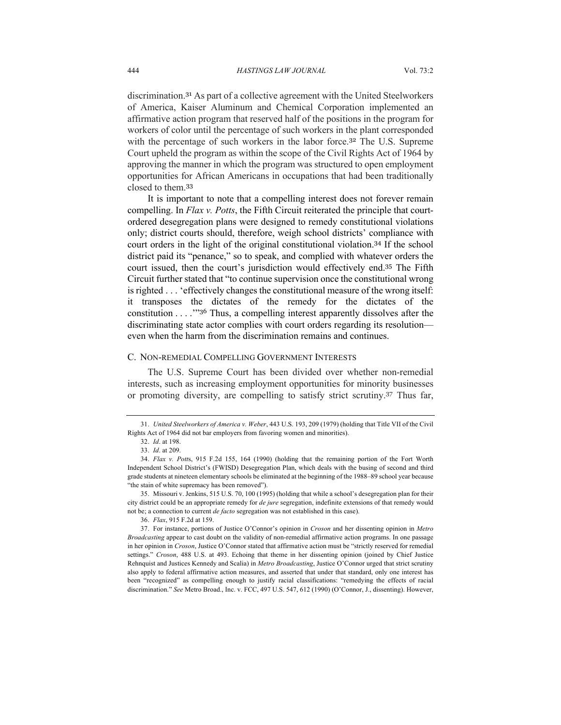discrimination.<sup>31</sup> As part of a collective agreement with the United Steelworkers of America, Kaiser Aluminum and Chemical Corporation implemented an affirmative action program that reserved half of the positions in the program for workers of color until the percentage of such workers in the plant corresponded with the percentage of such workers in the labor force.<sup>32</sup> The U.S. Supreme Court upheld the program as within the scope of the Civil Rights Act of 1964 by approving the manner in which the program was structured to open employment opportunities for African Americans in occupations that had been traditionally closed to them.<sup>33</sup>

It is important to note that a compelling interest does not forever remain compelling. In *Flax v. Potts*, the Fifth Circuit reiterated the principle that courtordered desegregation plans were designed to remedy constitutional violations only; district courts should, therefore, weigh school districts' compliance with court orders in the light of the original constitutional violation.<sup>34</sup> If the school district paid its "penance," so to speak, and complied with whatever orders the court issued, then the court's jurisdiction would effectively end.<sup>35</sup> The Fifth Circuit further stated that "to continue supervision once the constitutional wrong is righted . . . 'effectively changes the constitutional measure of the wrong itself: it transposes the dictates of the remedy for the dictates of the constitution . . . .'"<sup>36</sup> Thus, a compelling interest apparently dissolves after the discriminating state actor complies with court orders regarding its resolution even when the harm from the discrimination remains and continues.

## C. NON-REMEDIAL COMPELLING GOVERNMENT INTERESTS

The U.S. Supreme Court has been divided over whether non-remedial interests, such as increasing employment opportunities for minority businesses or promoting diversity, are compelling to satisfy strict scrutiny.<sup>37</sup> Thus far,

<sup>31.</sup> *United Steelworkers of America v. Weber*, 443 U.S. 193, 209 (1979) (holding that Title VII of the Civil Rights Act of 1964 did not bar employers from favoring women and minorities).

<sup>32.</sup> *Id*. at 198.

<sup>33.</sup> *Id*. at 209.

<sup>34.</sup> *Flax v. Pott*s, 915 F.2d 155, 164 (1990) (holding that the remaining portion of the Fort Worth Independent School District's (FWISD) Desegregation Plan, which deals with the busing of second and third grade students at nineteen elementary schools be eliminated at the beginning of the 1988–89 school year because "the stain of white supremacy has been removed").

<sup>35.</sup> Missouri v. Jenkins, 515 U.S. 70, 100 (1995) (holding that while a school's desegregation plan for their city district could be an appropriate remedy for *de jure* segregation, indefinite extensions of that remedy would not be; a connection to current *de facto* segregation was not established in this case).

<sup>36.</sup> *Flax*, 915 F.2d at 159.

<sup>37.</sup> For instance, portions of Justice O'Connor's opinion in *Croson* and her dissenting opinion in *Metro Broadcasting* appear to cast doubt on the validity of non-remedial affirmative action programs. In one passage in her opinion in *Croson*, Justice O'Connor stated that affirmative action must be "strictly reserved for remedial settings." *Croson*, 488 U.S. at 493. Echoing that theme in her dissenting opinion (joined by Chief Justice Rehnquist and Justices Kennedy and Scalia) in *Metro Broadcasting*, Justice O'Connor urged that strict scrutiny also apply to federal affirmative action measures, and asserted that under that standard, only one interest has been "recognized" as compelling enough to justify racial classifications: "remedying the effects of racial discrimination." See Metro Broad., Inc. v. FCC, 497 U.S. 547, 612 (1990) (O'Connor, J., dissenting). However,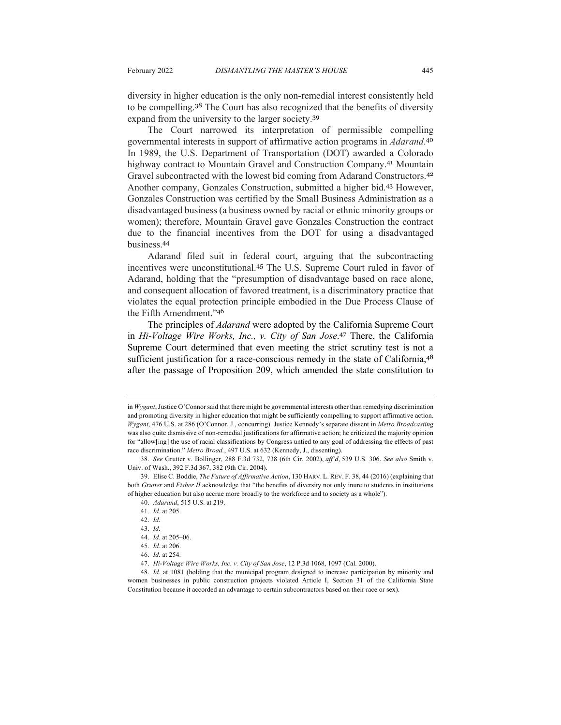diversity in higher education is the only non-remedial interest consistently held to be compelling.<sup>38</sup> The Court has also recognized that the benefits of diversity expand from the university to the larger society.<sup>39</sup>

The Court narrowed its interpretation of permissible compelling governmental interests in support of affirmative action programs in *Adarand*. 40 In 1989, the U.S. Department of Transportation (DOT) awarded a Colorado highway contract to Mountain Gravel and Construction Company.<sup>41</sup> Mountain Gravel subcontracted with the lowest bid coming from Adarand Constructors.<sup>42</sup> Another company, Gonzales Construction, submitted a higher bid.<sup>43</sup> However, Gonzales Construction was certified by the Small Business Administration as a disadvantaged business (a business owned by racial or ethnic minority groups or women); therefore, Mountain Gravel gave Gonzales Construction the contract due to the financial incentives from the DOT for using a disadvantaged business.<sup>44</sup>

Adarand filed suit in federal court, arguing that the subcontracting incentives were unconstitutional.<sup>45</sup> The U.S. Supreme Court ruled in favor of Adarand, holding that the "presumption of disadvantage based on race alone, and consequent allocation of favored treatment, is a discriminatory practice that violates the equal protection principle embodied in the Due Process Clause of the Fifth Amendment."<sup>46</sup>

The principles of *Adarand* were adopted by the California Supreme Court in *Hi-Voltage Wire Works, Inc., v. City of San Jose*. <sup>47</sup> There, the California Supreme Court determined that even meeting the strict scrutiny test is not a sufficient justification for a race-conscious remedy in the state of California,  $48$ after the passage of Proposition 209, which amended the state constitution to

in *Wygant*, Justice O'Connor said that there might be governmental interests other than remedying discrimination and promoting diversity in higher education that might be sufficiently compelling to support affirmative action. *Wygant*, 476 U.S. at 286 (O'Connor, J., concurring). Justice Kennedy's separate dissent in *Metro Broadcasting* was also quite dismissive of non-remedial justifications for affirmative action; he criticized the majority opinion for "allow[ing] the use of racial classifications by Congress untied to any goal of addressing the effects of past race discrimination." *Metro Broad.*, 497 U.S. at 632 (Kennedy, J., dissenting).

<sup>38.</sup> *See* Grutter v. Bollinger, 288 F.3d 732, 738 (6th Cir. 2002), *aff'd*, 539 U.S. 306. *See also* Smith v. Univ. of Wash., 392 F.3d 367, 382 (9th Cir. 2004).

<sup>39.</sup> Elise C. Boddie, *The Future of Affirmative Action*, 130 HARV. L. REV. F. 38, 44 (2016) (explaining that both *Grutter* and *Fisher II* acknowledge that "the benefits of diversity not only inure to students in institutions of higher education but also accrue more broadly to the workforce and to society as a whole").

<sup>40.</sup> *Adarand*, 515 U.S. at 219.

<sup>41.</sup> *Id.* at 205.

<sup>42.</sup> *Id.*

<sup>43.</sup> *Id.*

<sup>44.</sup> *Id.* at 205–06.

<sup>45.</sup> *Id.* at 206.

<sup>46.</sup> *Id.* at 254.

<sup>47.</sup> *Hi-Voltage Wire Works, Inc. v. City of San Jose*, 12 P.3d 1068, 1097 (Cal. 2000).

<sup>48.</sup> *Id.* at 1081 (holding that the municipal program designed to increase participation by minority and women businesses in public construction projects violated Article I, Section 31 of the California State Constitution because it accorded an advantage to certain subcontractors based on their race or sex).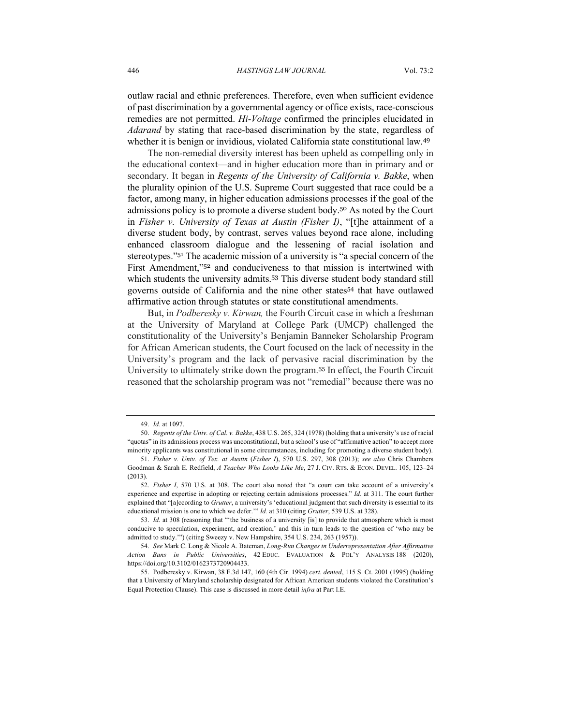outlaw racial and ethnic preferences. Therefore, even when sufficient evidence of past discrimination by a governmental agency or office exists, race-conscious remedies are not permitted. *Hi-Voltage* confirmed the principles elucidated in *Adarand* by stating that race-based discrimination by the state, regardless of whether it is benign or invidious, violated California state constitutional law.<sup>49</sup>

The non-remedial diversity interest has been upheld as compelling only in the educational context—and in higher education more than in primary and or secondary. It began in *Regents of the University of California v. Bakke*, when the plurality opinion of the U.S. Supreme Court suggested that race could be a factor, among many, in higher education admissions processes if the goal of the admissions policy is to promote a diverse student body.<sup>50</sup> As noted by the Court in *Fisher v. University of Texas at Austin (Fisher I)*, "[t]he attainment of a diverse student body, by contrast, serves values beyond race alone, including enhanced classroom dialogue and the lessening of racial isolation and stereotypes."<sup>51</sup> The academic mission of a university is "a special concern of the First Amendment,"<sup>52</sup> and conduciveness to that mission is intertwined with which students the university admits.<sup>53</sup> This diverse student body standard still governs outside of California and the nine other states<sup>54</sup> that have outlawed affirmative action through statutes or state constitutional amendments.

But, in *Podberesky v. Kirwan,* the Fourth Circuit case in which a freshman at the University of Maryland at College Park (UMCP) challenged the constitutionality of the University's Benjamin Banneker Scholarship Program for African American students, the Court focused on the lack of necessity in the University's program and the lack of pervasive racial discrimination by the University to ultimately strike down the program.<sup>55</sup> In effect, the Fourth Circuit reasoned that the scholarship program was not "remedial" because there was no

<sup>49.</sup> *Id*. at 1097.

<sup>50.</sup> *Regents of the Univ. of Cal. v. Bakke*, 438 U.S. 265, 324 (1978) (holding that a university's use of racial "quotas" in its admissions process was unconstitutional, but a school's use of "affirmative action" to accept more minority applicants was constitutional in some circumstances, including for promoting a diverse student body).

<sup>51.</sup> *Fisher v. Univ. of Tex. at Austin* (*Fisher I*), 570 U.S. 297, 308 (2013); *see also* Chris Chambers Goodman & Sarah E. Redfield, *A Teacher Who Looks Like Me*, 27 J. CIV. RTS. & ECON. DEVEL. 105, 123–24  $(2013)$ 

<sup>52.</sup> *Fisher I*, 570 U.S. at 308. The court also noted that "a court can take account of a university's experience and expertise in adopting or rejecting certain admissions processes." *Id.* at 311. The court further explained that "[a]ccording to *Grutter*, a university's 'educational judgment that such diversity is essential to its educational mission is one to which we defer.'" *Id.* at 310 (citing *Grutter*, 539 U.S. at 328).

<sup>53.</sup> *Id.* at 308 (reasoning that "'the business of a university [is] to provide that atmosphere which is most conducive to speculation, experiment, and creation,' and this in turn leads to the question of 'who may be admitted to study.'") (citing Sweezy v. New Hampshire, 354 U.S. 234, 263 (1957)).

<sup>54.</sup> *See* Mark C. Long & Nicole A. Bateman, *Long-Run Changes in Underrepresentation After Affirmative Action Bans in Public Universities*, 42 EDUC. EVALUATION & POL'Y ANALYSIS 188 (2020), https://doi.org/10.3102/0162373720904433.

<sup>55.</sup> Podberesky v. Kirwan, 38 F.3d 147, 160 (4th Cir. 1994) *cert. denied*, 115 S. Ct. 2001 (1995) (holding that a University of Maryland scholarship designated for African American students violated the Constitution's Equal Protection Clause). This case is discussed in more detail *infra* at Part I.E.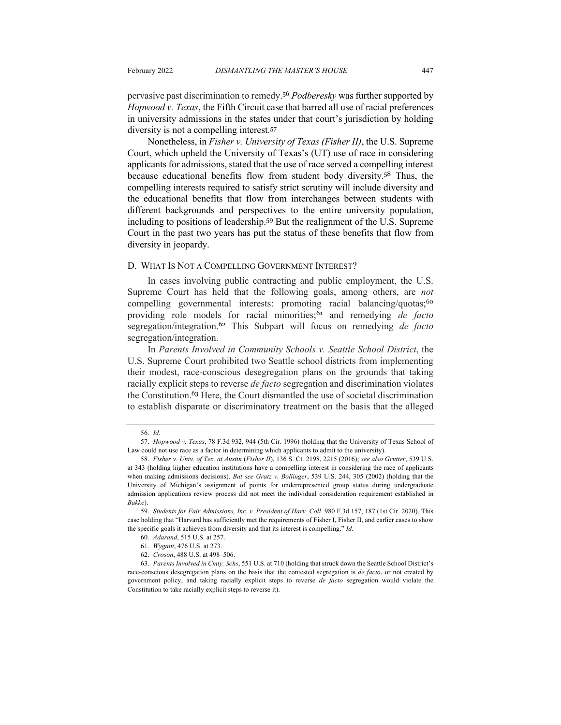pervasive past discrimination to remedy.<sup>56</sup> *Podberesky* was further supported by *Hopwood v. Texas*, the Fifth Circuit case that barred all use of racial preferences in university admissions in the states under that court's jurisdiction by holding diversity is not a compelling interest.<sup>57</sup>

Nonetheless, in *Fisher v. University of Texas (Fisher II)*, the U.S. Supreme Court, which upheld the University of Texas's (UT) use of race in considering applicants for admissions, stated that the use of race served a compelling interest because educational benefits flow from student body diversity.<sup>58</sup> Thus, the compelling interests required to satisfy strict scrutiny will include diversity and the educational benefits that flow from interchanges between students with different backgrounds and perspectives to the entire university population, including to positions of leadership.<sup>59</sup> But the realignment of the U.S. Supreme Court in the past two years has put the status of these benefits that flow from diversity in jeopardy.

### D. WHAT IS NOT A COMPELLING GOVERNMENT INTEREST?

In cases involving public contracting and public employment, the U.S. Supreme Court has held that the following goals, among others, are *not* compelling governmental interests: promoting racial balancing/quotas;<sup>60</sup> providing role models for racial minorities;<sup>61</sup> and remedying *de facto* segregation/integration.<sup>62</sup> This Subpart will focus on remedying *de facto* segregation/integration.

In *Parents Involved in Community Schools v. Seattle School District*, the U.S. Supreme Court prohibited two Seattle school districts from implementing their modest, race-conscious desegregation plans on the grounds that taking racially explicit steps to reverse *de facto* segregation and discrimination violates the Constitution.<sup>63</sup> Here, the Court dismantled the use of societal discrimination to establish disparate or discriminatory treatment on the basis that the alleged

<sup>56.</sup> *Id.*

<sup>57.</sup> *Hopwood v. Texas*, 78 F.3d 932, 944 (5th Cir. 1996) (holding that the University of Texas School of Law could not use race as a factor in determining which applicants to admit to the university).

<sup>58.</sup> *Fisher v. Univ. of Tex. at Austin* (*Fisher II*), 136 S. Ct. 2198, 2215 (2016); *see also Grutter*, 539 U.S. at 343 (holding higher education institutions have a compelling interest in considering the race of applicants when making admissions decisions). *But see Gratz v. Bollinger*, 539 U.S. 244, 305 (2002) (holding that the University of Michigan's assignment of points for underrepresented group status during undergraduate admission applications review process did not meet the individual consideration requirement established in *Bakke*).

<sup>59.</sup> *Students for Fair Admissions, Inc. v. President of Harv. Coll*. 980 F.3d 157, 187 (1st Cir. 2020). This case holding that "Harvard has sufficiently met the requirements of Fisher I, Fisher II, and earlier cases to show the specific goals it achieves from diversity and that its interest is compelling." *Id.*

<sup>60.</sup> *Adarand*, 515 U.S. at 257.

<sup>61.</sup> *Wygant*, 476 U.S. at 273.

<sup>62.</sup> *Croson*, 488 U.S. at 498–506.

<sup>63.</sup> *Parents Involved in Cmty. Schs*, 551 U.S. at 710 (holding that struck down the Seattle School District's race-conscious desegregation plans on the basis that the contested segregation is *de facto*, or not created by government policy, and taking racially explicit steps to reverse *de facto* segregation would violate the Constitution to take racially explicit steps to reverse it).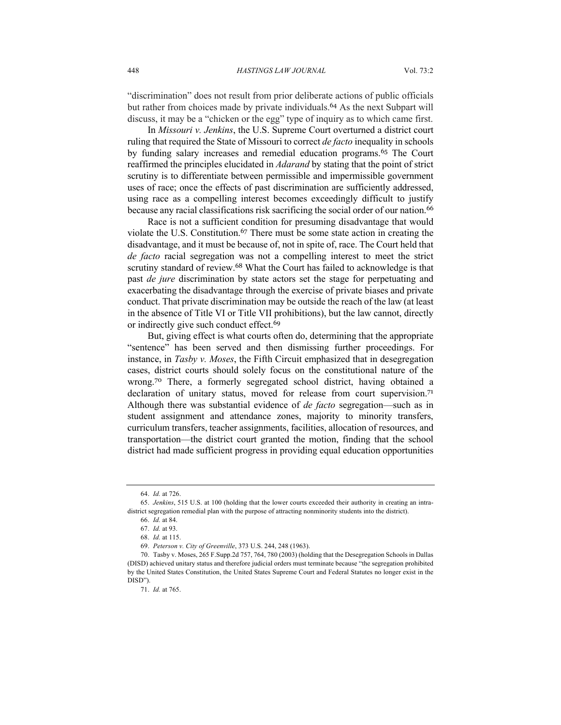"discrimination" does not result from prior deliberate actions of public officials but rather from choices made by private individuals.<sup>64</sup> As the next Subpart will discuss, it may be a "chicken or the egg" type of inquiry as to which came first.

In *Missouri v. Jenkins*, the U.S. Supreme Court overturned a district court ruling that required the State of Missouri to correct *de facto* inequality in schools by funding salary increases and remedial education programs.<sup>65</sup> The Court reaffirmed the principles elucidated in *Adarand* by stating that the point of strict scrutiny is to differentiate between permissible and impermissible government uses of race; once the effects of past discrimination are sufficiently addressed, using race as a compelling interest becomes exceedingly difficult to justify because any racial classifications risk sacrificing the social order of our nation.<sup>66</sup>

Race is not a sufficient condition for presuming disadvantage that would violate the U.S. Constitution.<sup>67</sup> There must be some state action in creating the disadvantage, and it must be because of, not in spite of, race. The Court held that *de facto* racial segregation was not a compelling interest to meet the strict scrutiny standard of review.<sup>68</sup> What the Court has failed to acknowledge is that past *de jure* discrimination by state actors set the stage for perpetuating and exacerbating the disadvantage through the exercise of private biases and private conduct. That private discrimination may be outside the reach of the law (at least in the absence of Title VI or Title VII prohibitions), but the law cannot, directly or indirectly give such conduct effect.<sup>69</sup>

But, giving effect is what courts often do, determining that the appropriate "sentence" has been served and then dismissing further proceedings. For instance, in *Tasby v. Moses*, the Fifth Circuit emphasized that in desegregation cases, district courts should solely focus on the constitutional nature of the wrong.<sup>70</sup> There, a formerly segregated school district, having obtained a declaration of unitary status, moved for release from court supervision.<sup>71</sup> Although there was substantial evidence of *de facto* segregation—such as in student assignment and attendance zones, majority to minority transfers, curriculum transfers, teacher assignments, facilities, allocation of resources, and transportation—the district court granted the motion, finding that the school district had made sufficient progress in providing equal education opportunities

<sup>64.</sup> *Id.* at 726.

<sup>65.</sup> *Jenkins*, 515 U.S. at 100 (holding that the lower courts exceeded their authority in creating an intradistrict segregation remedial plan with the purpose of attracting nonminority students into the district).

<sup>66.</sup> *Id.* at 84.

<sup>67.</sup> *Id.* at 93.

<sup>68.</sup> *Id.* at 115.

<sup>69.</sup> *Peterson v. City of Greenville*, 373 U.S. 244, 248 (1963).

<sup>70.</sup> Tasby v. Moses, 265 F.Supp.2d 757, 764, 780 (2003) (holding that the Desegregation Schools in Dallas (DISD) achieved unitary status and therefore judicial orders must terminate because "the segregation prohibited by the United States Constitution, the United States Supreme Court and Federal Statutes no longer exist in the DISD").

<sup>71.</sup> *Id.* at 765.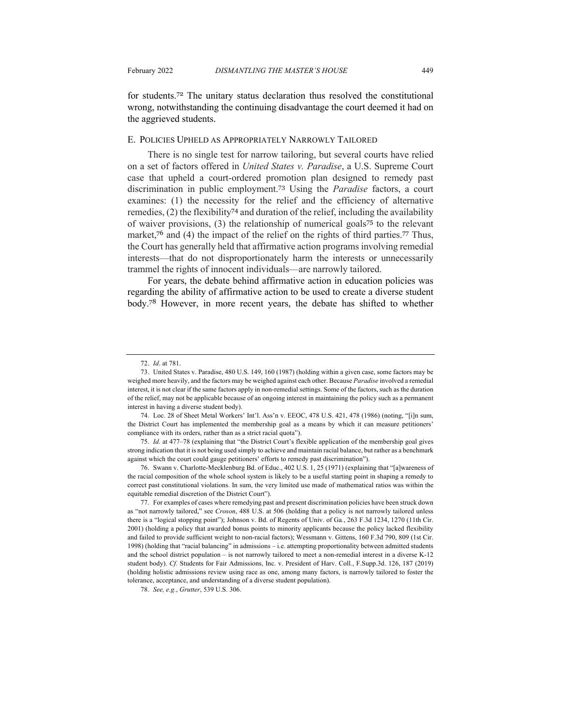for students.<sup>72</sup> The unitary status declaration thus resolved the constitutional wrong, notwithstanding the continuing disadvantage the court deemed it had on the aggrieved students.

#### E. POLICIES UPHELD AS APPROPRIATELY NARROWLY TAILORED

There is no single test for narrow tailoring, but several courts have relied on a set of factors offered in *United States v. Paradise*, a U.S. Supreme Court case that upheld a court-ordered promotion plan designed to remedy past discrimination in public employment.<sup>73</sup> Using the *Paradise* factors, a court examines: (1) the necessity for the relief and the efficiency of alternative remedies, (2) the flexibility<sup>74</sup> and duration of the relief, including the availability of waiver provisions, (3) the relationship of numerical goals<sup>75</sup> to the relevant market,<sup>76</sup> and (4) the impact of the relief on the rights of third parties.<sup>77</sup> Thus, the Court has generally held that affirmative action programs involving remedial interests—that do not disproportionately harm the interests or unnecessarily trammel the rights of innocent individuals—are narrowly tailored.

For years, the debate behind affirmative action in education policies was regarding the ability of affirmative action to be used to create a diverse student body.<sup>78</sup> However, in more recent years, the debate has shifted to whether

<sup>72.</sup> *Id*. at 781.

<sup>73.</sup> United States v. Paradise, 480 U.S. 149, 160 (1987) (holding within a given case, some factors may be weighed more heavily, and the factors may be weighed against each other. Because *Paradise* involved a remedial interest, it is not clear if the same factors apply in non-remedial settings. Some of the factors, such as the duration of the relief, may not be applicable because of an ongoing interest in maintaining the policy such as a permanent interest in having a diverse student body).

<sup>74.</sup> Loc. 28 of Sheet Metal Workers' Int'l. Ass'n v. EEOC, 478 U.S. 421, 478 (1986) (noting, "[i]n sum, the District Court has implemented the membership goal as a means by which it can measure petitioners' compliance with its orders, rather than as a strict racial quota").

<sup>75.</sup> *Id.* at 477–78 (explaining that "the District Court's flexible application of the membership goal gives strong indication that it is not being used simply to achieve and maintain racial balance, but rather as a benchmark against which the court could gauge petitioners' efforts to remedy past discrimination").

<sup>76.</sup> Swann v. Charlotte-Mecklenburg Bd. of Educ., 402 U.S. 1, 25 (1971) (explaining that "[a]wareness of the racial composition of the whole school system is likely to be a useful starting point in shaping a remedy to correct past constitutional violations. In sum, the very limited use made of mathematical ratios was within the equitable remedial discretion of the District Court").

<sup>77.</sup> For examples of cases where remedying past and present discrimination policies have been struck down as "not narrowly tailored," see *Croson*, 488 U.S. at 506 (holding that a policy is not narrowly tailored unless there is a "logical stopping point"); Johnson v. Bd. of Regents of Univ. of Ga*.*, 263 F.3d 1234, 1270 (11th Cir. 2001) (holding a policy that awarded bonus points to minority applicants because the policy lacked flexibility and failed to provide sufficient weight to non-racial factors); Wessmann v. Gittens, 160 F.3d 790, 809 (1st Cir. 1998) (holding that "racial balancing" in admissions – i.e. attempting proportionality between admitted students and the school district population – is not narrowly tailored to meet a non-remedial interest in a diverse K-12 student body). *Cf.* Students for Fair Admissions, Inc. v. President of Harv. Coll*.*, F.Supp.3d. 126, 187 (2019) (holding holistic admissions review using race as one, among many factors, is narrowly tailored to foster the tolerance, acceptance, and understanding of a diverse student population).

<sup>78.</sup> *See, e.g.*, *Grutter*, 539 U.S. 306.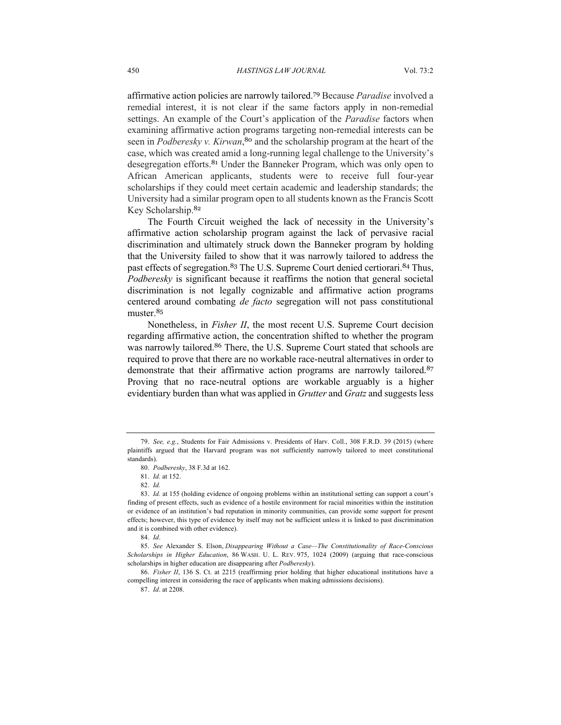affirmative action policies are narrowly tailored.<sup>79</sup> Because *Paradise* involved a remedial interest, it is not clear if the same factors apply in non-remedial settings. An example of the Court's application of the *Paradise* factors when examining affirmative action programs targeting non-remedial interests can be seen in *Podberesky v. Kirwan*, <sup>80</sup> and the scholarship program at the heart of the case, which was created amid a long-running legal challenge to the University's desegregation efforts.<sup>81</sup> Under the Banneker Program, which was only open to African American applicants, students were to receive full four-year scholarships if they could meet certain academic and leadership standards; the University had a similar program open to all students known as the Francis Scott Key Scholarship.<sup>82</sup>

The Fourth Circuit weighed the lack of necessity in the University's affirmative action scholarship program against the lack of pervasive racial discrimination and ultimately struck down the Banneker program by holding that the University failed to show that it was narrowly tailored to address the past effects of segregation.<sup>83</sup> The U.S. Supreme Court denied certiorari.<sup>84</sup> Thus, *Podberesky* is significant because it reaffirms the notion that general societal discrimination is not legally cognizable and affirmative action programs centered around combating *de facto* segregation will not pass constitutional muster.<sup>85</sup>

Nonetheless, in *Fisher II*, the most recent U.S. Supreme Court decision regarding affirmative action, the concentration shifted to whether the program was narrowly tailored.<sup>86</sup> There, the U.S. Supreme Court stated that schools are required to prove that there are no workable race-neutral alternatives in order to demonstrate that their affirmative action programs are narrowly tailored.<sup>87</sup> Proving that no race-neutral options are workable arguably is a higher evidentiary burden than what was applied in *Grutter* and *Gratz* and suggests less

<sup>79.</sup> *See, e.g.*, Students for Fair Admissions v. Presidents of Harv. Coll., 308 F.R.D. 39 (2015) (where plaintiffs argued that the Harvard program was not sufficiently narrowly tailored to meet constitutional standards).

<sup>80.</sup> *Podberesky*, 38 F.3d at 162.

<sup>81.</sup> *Id.* at 152.

<sup>82.</sup> *Id.*

<sup>83.</sup> *Id.* at 155 (holding evidence of ongoing problems within an institutional setting can support a court's finding of present effects, such as evidence of a hostile environment for racial minorities within the institution or evidence of an institution's bad reputation in minority communities, can provide some support for present effects; however, this type of evidence by itself may not be sufficient unless it is linked to past discrimination and it is combined with other evidence).

<sup>84.</sup> *Id*.

<sup>85.</sup> *See* Alexander S. Elson, *Disappearing Without a Case—The Constitutionality of Race-Conscious Scholarships in Higher Education*, 86 WASH. U. L. REV. 975, 1024 (2009) (arguing that race-conscious scholarships in higher education are disappearing after *Podberesky*).

<sup>86.</sup> *Fisher II*, 136 S. Ct. at 2215 (reaffirming prior holding that higher educational institutions have a compelling interest in considering the race of applicants when making admissions decisions).

<sup>87.</sup> *Id*. at 2208.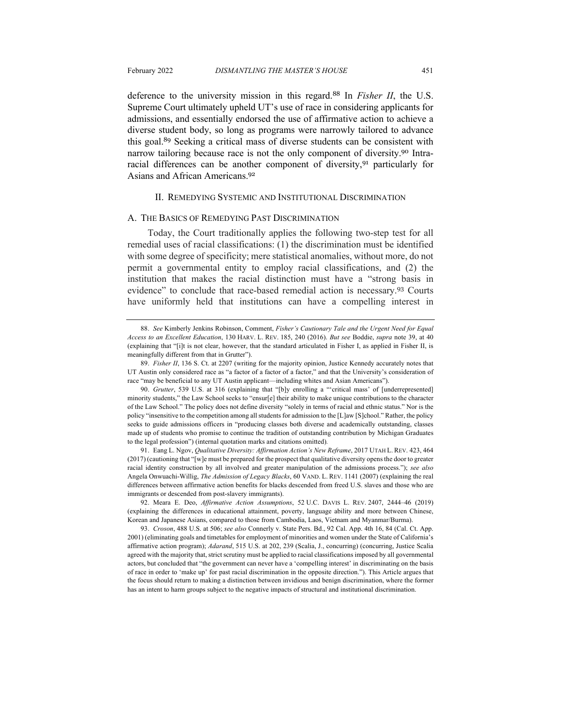deference to the university mission in this regard.<sup>88</sup> In *Fisher II*, the U.S. Supreme Court ultimately upheld UT's use of race in considering applicants for admissions, and essentially endorsed the use of affirmative action to achieve a diverse student body, so long as programs were narrowly tailored to advance this goal.<sup>89</sup> Seeking a critical mass of diverse students can be consistent with narrow tailoring because race is not the only component of diversity.<sup>90</sup> Intraracial differences can be another component of diversity,<sup>91</sup> particularly for Asians and African Americans.<sup>92</sup>

#### II. REMEDYING SYSTEMIC AND INSTITUTIONAL DISCRIMINATION

## A. THE BASICS OF REMEDYING PAST DISCRIMINATION

Today, the Court traditionally applies the following two-step test for all remedial uses of racial classifications: (1) the discrimination must be identified with some degree of specificity; mere statistical anomalies, without more, do not permit a governmental entity to employ racial classifications, and (2) the institution that makes the racial distinction must have a "strong basis in evidence" to conclude that race-based remedial action is necessary.<sup>93</sup> Courts have uniformly held that institutions can have a compelling interest in

91. Eang L. Ngov, *Qualitative Diversity: Affirmation Action's New Reframe*, 2017 UTAH L. REV. 423, 464 (2017) (cautioning that "[w]e must be prepared for the prospect that qualitative diversity opens the door to greater racial identity construction by all involved and greater manipulation of the admissions process."); *see also* Angela Onwuachi-Willig, *The Admission of Legacy Blacks*, 60 VAND. L. REV. 1141 (2007) (explaining the real differences between affirmative action benefits for blacks descended from freed U.S. slaves and those who are immigrants or descended from post-slavery immigrants).

<sup>88.</sup> *See* Kimberly Jenkins Robinson, Comment, *Fisher's Cautionary Tale and the Urgent Need for Equal Access to an Excellent Education*, 130 HARV. L. REV. 185, 240 (2016). *But see* Boddie, *supra* note 39, at 40 (explaining that "[i]t is not clear, however, that the standard articulated in Fisher I, as applied in Fisher II, is meaningfully different from that in Grutter").

<sup>89.</sup> *Fisher II*, 136 S. Ct. at 2207 (writing for the majority opinion, Justice Kennedy accurately notes that UT Austin only considered race as "a factor of a factor of a factor," and that the University's consideration of race "may be beneficial to any UT Austin applicant—including whites and Asian Americans").

<sup>90.</sup> *Grutter*, 539 U.S. at 316 (explaining that "[b]y enrolling a "'critical mass' of [underrepresented] minority students," the Law School seeks to "ensur[e] their ability to make unique contributions to the character of the Law School." The policy does not define diversity "solely in terms of racial and ethnic status." Nor is the policy "insensitive to the competition among all students for admission to the [L]aw [S]chool." Rather, the policy seeks to guide admissions officers in "producing classes both diverse and academically outstanding, classes made up of students who promise to continue the tradition of outstanding contribution by Michigan Graduates to the legal profession") (internal quotation marks and citations omitted)*.*

<sup>92.</sup> Meara E. Deo, *Affirmative Action Assumptions*, 52 U.C. DAVIS L. REV. 2407, 2444–46 (2019) (explaining the differences in educational attainment, poverty, language ability and more between Chinese, Korean and Japanese Asians, compared to those from Cambodia, Laos, Vietnam and Myanmar/Burma).

<sup>93.</sup> *Croson*, 488 U.S. at 506; *see also* Connerly v. State Pers. Bd., 92 Cal. App. 4th 16, 84 (Cal. Ct. App. 2001) (eliminating goals and timetables for employment of minorities and women under the State of California's affirmative action program); *Adarand*, 515 U.S. at 202, 239 (Scalia, J., concurring) (concurring, Justice Scalia agreed with the majority that, strict scrutiny must be applied to racial classifications imposed by all governmental actors, but concluded that "the government can never have a 'compelling interest' in discriminating on the basis of race in order to 'make up' for past racial discrimination in the opposite direction."). This Article argues that the focus should return to making a distinction between invidious and benign discrimination, where the former has an intent to harm groups subject to the negative impacts of structural and institutional discrimination.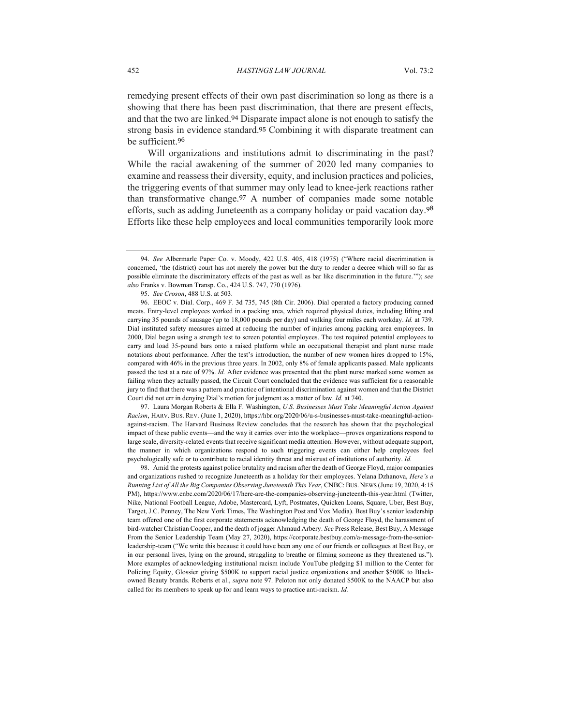remedying present effects of their own past discrimination so long as there is a showing that there has been past discrimination, that there are present effects, and that the two are linked.<sup>94</sup> Disparate impact alone is not enough to satisfy the strong basis in evidence standard.<sup>95</sup> Combining it with disparate treatment can be sufficient.<sup>96</sup>

Will organizations and institutions admit to discriminating in the past? While the racial awakening of the summer of 2020 led many companies to examine and reassess their diversity, equity, and inclusion practices and policies, the triggering events of that summer may only lead to knee-jerk reactions rather than transformative change.<sup>97</sup> A number of companies made some notable efforts, such as adding Juneteenth as a company holiday or paid vacation day.<sup>98</sup> Efforts like these help employees and local communities temporarily look more

95. *See Croson*, 488 U.S. at 503.

96. EEOC v. Dial. Corp., 469 F. 3d 735, 745 (8th Cir. 2006). Dial operated a factory producing canned meats. Entry-level employees worked in a packing area, which required physical duties, including lifting and carrying 35 pounds of sausage (up to 18,000 pounds per day) and walking four miles each workday. *Id.* at 739. Dial instituted safety measures aimed at reducing the number of injuries among packing area employees. In 2000, Dial began using a strength test to screen potential employees. The test required potential employees to carry and load 35-pound bars onto a raised platform while an occupational therapist and plant nurse made notations about performance. After the test's introduction, the number of new women hires dropped to 15%, compared with 46% in the previous three years. In 2002, only 8% of female applicants passed. Male applicants passed the test at a rate of 97%. *Id.* After evidence was presented that the plant nurse marked some women as failing when they actually passed, the Circuit Court concluded that the evidence was sufficient for a reasonable jury to find that there was a pattern and practice of intentional discrimination against women and that the District Court did not err in denying Dial's motion for judgment as a matter of law. *Id.* at 740.

97. Laura Morgan Roberts & Ella F. Washington, *U.S. Businesses Must Take Meaningful Action Against Racism*, HARV. BUS. REV. (June 1, 2020), https://hbr.org/2020/06/u-s-businesses-must-take-meaningful-actionagainst-racism. The Harvard Business Review concludes that the research has shown that the psychological impact of these public events—and the way it carries over into the workplace—proves organizations respond to large scale, diversity-related events that receive significant media attention. However, without adequate support, the manner in which organizations respond to such triggering events can either help employees feel psychologically safe or to contribute to racial identity threat and mistrust of institutions of authority. *Id.*

98. Amid the protests against police brutality and racism after the death of George Floyd, major companies and organizations rushed to recognize Juneteenth as a holiday for their employees. Yelana Dzhanova, *Here's a Running List of All the Big Companies Observing Juneteenth This Year*, CNBC: BUS. NEWS (June 19, 2020, 4:15 PM), https://www.cnbc.com/2020/06/17/here-are-the-companies-observing-juneteenth-this-year.html (Twitter, Nike, National Football League, Adobe, Mastercard, Lyft, Postmates, Quicken Loans, Square, Uber, Best Buy, Target, J.C. Penney, The New York Times, The Washington Post and Vox Media). Best Buy's senior leadership team offered one of the first corporate statements acknowledging the death of George Floyd, the harassment of bird-watcher Christian Cooper, and the death of jogger Ahmaud Arbery. *See* Press Release, Best Buy, A Message From the Senior Leadership Team (May 27, 2020), https://corporate.bestbuy.com/a-message-from-the-seniorleadership-team ("We write this because it could have been any one of our friends or colleagues at Best Buy, or in our personal lives, lying on the ground, struggling to breathe or filming someone as they threatened us."). More examples of acknowledging institutional racism include YouTube pledging \$1 million to the Center for Policing Equity, Glossier giving \$500K to support racial justice organizations and another \$500K to Blackowned Beauty brands. Roberts et al., *supra* note 97. Peloton not only donated \$500K to the NAACP but also called for its members to speak up for and learn ways to practice anti-racism. *Id.*

<sup>94.</sup> *See* Albermarle Paper Co. v. Moody, 422 U.S. 405, 418 (1975) ("Where racial discrimination is concerned, 'the (district) court has not merely the power but the duty to render a decree which will so far as possible eliminate the discriminatory effects of the past as well as bar like discrimination in the future.'"); *see also* Franks v. Bowman Transp. Co., 424 U.S. 747, 770 (1976).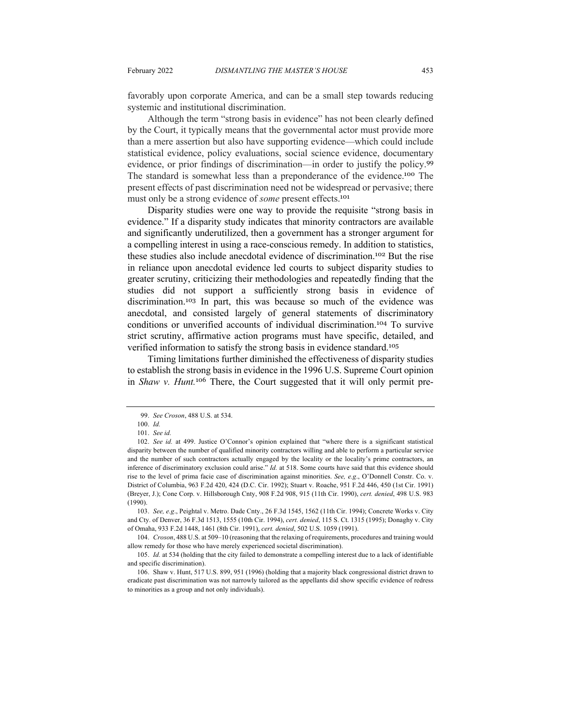favorably upon corporate America, and can be a small step towards reducing systemic and institutional discrimination.

Although the term "strong basis in evidence" has not been clearly defined by the Court, it typically means that the governmental actor must provide more than a mere assertion but also have supporting evidence—which could include statistical evidence, policy evaluations, social science evidence, documentary evidence, or prior findings of discrimination—in order to justify the policy.<sup>99</sup> The standard is somewhat less than a preponderance of the evidence.<sup>100</sup> The present effects of past discrimination need not be widespread or pervasive; there must only be a strong evidence of *some* present effects.<sup>101</sup>

Disparity studies were one way to provide the requisite "strong basis in evidence." If a disparity study indicates that minority contractors are available and significantly underutilized, then a government has a stronger argument for a compelling interest in using a race-conscious remedy. In addition to statistics, these studies also include anecdotal evidence of discrimination.<sup>102</sup> But the rise in reliance upon anecdotal evidence led courts to subject disparity studies to greater scrutiny, criticizing their methodologies and repeatedly finding that the studies did not support a sufficiently strong basis in evidence of discrimination.<sup>103</sup> In part, this was because so much of the evidence was anecdotal, and consisted largely of general statements of discriminatory conditions or unverified accounts of individual discrimination.<sup>104</sup> To survive strict scrutiny, affirmative action programs must have specific, detailed, and verified information to satisfy the strong basis in evidence standard.<sup>105</sup>

Timing limitations further diminished the effectiveness of disparity studies to establish the strong basis in evidence in the 1996 U.S. Supreme Court opinion in *Shaw v. Hunt.*<sup>106</sup> There, the Court suggested that it will only permit pre-

103. *See, e.g*., Peightal v. Metro. Dade Cnty., 26 F.3d 1545, 1562 (11th Cir. 1994); Concrete Works v. City and Cty. of Denver, 36 F.3d 1513, 1555 (10th Cir. 1994), *cert. denied*, 115 S. Ct. 1315 (1995); Donaghy v. City of Omaha, 933 F.2d 1448, 1461 (8th Cir. 1991), *cert. denied*, 502 U.S. 1059 (1991).

104. *Croson*, 488 U.S. at 509–10 (reasoning that the relaxing of requirements, procedures and training would allow remedy for those who have merely experienced societal discrimination).

105. *Id.* at 534 (holding that the city failed to demonstrate a compelling interest due to a lack of identifiable and specific discrimination).

106. Shaw v. Hunt, 517 U.S. 899, 951 (1996) (holding that a majority black congressional district drawn to eradicate past discrimination was not narrowly tailored as the appellants did show specific evidence of redress to minorities as a group and not only individuals).

<sup>99.</sup> *See Croson*, 488 U.S. at 534.

<sup>100.</sup> *Id.*

<sup>101.</sup> *See id.*

<sup>102.</sup> *See id.* at 499. Justice O'Connor's opinion explained that "where there is a significant statistical disparity between the number of qualified minority contractors willing and able to perform a particular service and the number of such contractors actually engaged by the locality or the locality's prime contractors, an inference of discriminatory exclusion could arise." *Id.* at 518. Some courts have said that this evidence should rise to the level of prima facie case of discrimination against minorities. *See, e.g*., O'Donnell Constr. Co. v. District of Columbia, 963 F.2d 420, 424 (D.C. Cir. 1992); Stuart v. Roache, 951 F.2d 446, 450 (1st Cir. 1991) (Breyer, J.); Cone Corp. v. Hillsborough Cnty, 908 F.2d 908, 915 (11th Cir. 1990), *cert. denied*, 498 U.S. 983 (1990).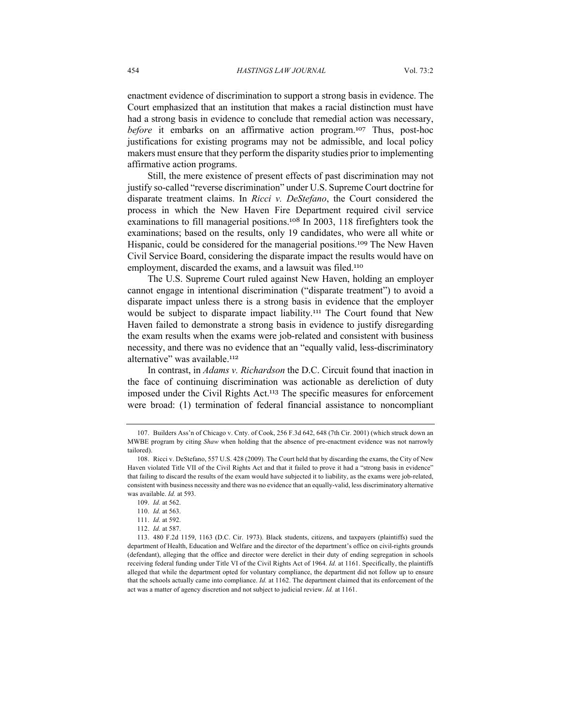enactment evidence of discrimination to support a strong basis in evidence. The Court emphasized that an institution that makes a racial distinction must have had a strong basis in evidence to conclude that remedial action was necessary, *before* it embarks on an affirmative action program.<sup>107</sup> Thus, post-hoc justifications for existing programs may not be admissible, and local policy makers must ensure that they perform the disparity studies prior to implementing affirmative action programs.

Still, the mere existence of present effects of past discrimination may not justify so-called "reverse discrimination" under U.S. Supreme Court doctrine for disparate treatment claims. In *Ricci v. DeStefano*, the Court considered the process in which the New Haven Fire Department required civil service examinations to fill managerial positions.<sup>108</sup> In 2003, 118 firefighters took the examinations; based on the results, only 19 candidates, who were all white or Hispanic, could be considered for the managerial positions.<sup>109</sup> The New Haven Civil Service Board, considering the disparate impact the results would have on employment, discarded the exams, and a lawsuit was filed.<sup>110</sup>

The U.S. Supreme Court ruled against New Haven, holding an employer cannot engage in intentional discrimination ("disparate treatment") to avoid a disparate impact unless there is a strong basis in evidence that the employer would be subject to disparate impact liability.<sup>111</sup> The Court found that New Haven failed to demonstrate a strong basis in evidence to justify disregarding the exam results when the exams were job-related and consistent with business necessity, and there was no evidence that an "equally valid, less-discriminatory alternative" was available.<sup>112</sup>

In contrast, in *Adams v. Richardson* the D.C. Circuit found that inaction in the face of continuing discrimination was actionable as dereliction of duty imposed under the Civil Rights Act.<sup>113</sup> The specific measures for enforcement were broad: (1) termination of federal financial assistance to noncompliant

<sup>107.</sup> Builders Ass'n of Chicago v. Cnty. of Cook, 256 F.3d 642, 648 (7th Cir. 2001) (which struck down an MWBE program by citing *Shaw* when holding that the absence of pre-enactment evidence was not narrowly tailored).

<sup>108.</sup> Ricci v. DeStefano, 557 U.S. 428 (2009). The Court held that by discarding the exams, the City of New Haven violated Title VII of the Civil Rights Act and that it failed to prove it had a "strong basis in evidence" that failing to discard the results of the exam would have subjected it to liability, as the exams were job-related, consistent with business necessity and there was no evidence that an equally-valid, less discriminatory alternative was available. *Id.* at 593.

<sup>109.</sup> *Id.* at 562.

<sup>110.</sup> *Id.* at 563.

<sup>111.</sup> *Id.* at 592.

<sup>112.</sup> *Id.* at 587.

<sup>113.</sup> 480 F.2d 1159, 1163 (D.C. Cir. 1973). Black students, citizens, and taxpayers (plaintiffs) sued the department of Health, Education and Welfare and the director of the department's office on civil-rights grounds (defendant), alleging that the office and director were derelict in their duty of ending segregation in schools receiving federal funding under Title VI of the Civil Rights Act of 1964. *Id.* at 1161. Specifically, the plaintiffs alleged that while the department opted for voluntary compliance, the department did not follow up to ensure that the schools actually came into compliance. *Id.* at 1162. The department claimed that its enforcement of the act was a matter of agency discretion and not subject to judicial review. *Id.* at 1161.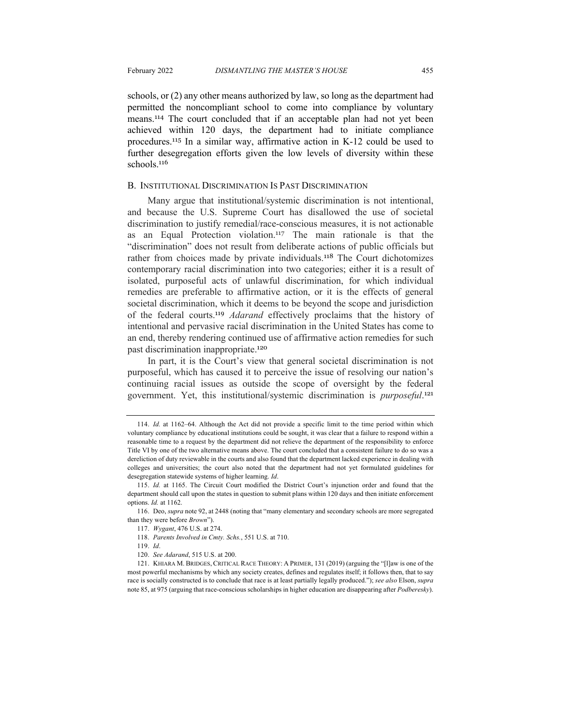schools, or (2) any other means authorized by law, so long as the department had permitted the noncompliant school to come into compliance by voluntary means.<sup>114</sup> The court concluded that if an acceptable plan had not yet been achieved within 120 days, the department had to initiate compliance procedures.<sup>115</sup> In a similar way, affirmative action in K-12 could be used to further desegregation efforts given the low levels of diversity within these schools.<sup>116</sup>

#### B. INSTITUTIONAL DISCRIMINATION IS PAST DISCRIMINATION

Many argue that institutional/systemic discrimination is not intentional, and because the U.S. Supreme Court has disallowed the use of societal discrimination to justify remedial/race-conscious measures, it is not actionable as an Equal Protection violation.<sup>117</sup> The main rationale is that the "discrimination" does not result from deliberate actions of public officials but rather from choices made by private individuals.<sup>118</sup> The Court dichotomizes contemporary racial discrimination into two categories; either it is a result of isolated, purposeful acts of unlawful discrimination, for which individual remedies are preferable to affirmative action, or it is the effects of general societal discrimination, which it deems to be beyond the scope and jurisdiction of the federal courts.<sup>119</sup> *Adarand* effectively proclaims that the history of intentional and pervasive racial discrimination in the United States has come to an end, thereby rendering continued use of affirmative action remedies for such past discrimination inappropriate.<sup>120</sup>

In part, it is the Court's view that general societal discrimination is not purposeful, which has caused it to perceive the issue of resolving our nation's continuing racial issues as outside the scope of oversight by the federal government. Yet, this institutional/systemic discrimination is *purposeful*. 121

120. *See Adarand*, 515 U.S. at 200.

<sup>114.</sup> *Id.* at 1162–64. Although the Act did not provide a specific limit to the time period within which voluntary compliance by educational institutions could be sought, it was clear that a failure to respond within a reasonable time to a request by the department did not relieve the department of the responsibility to enforce Title VI by one of the two alternative means above. The court concluded that a consistent failure to do so was a dereliction of duty reviewable in the courts and also found that the department lacked experience in dealing with colleges and universities; the court also noted that the department had not yet formulated guidelines for desegregation statewide systems of higher learning. *Id*.

<sup>115.</sup> *Id.* at 1165. The Circuit Court modified the District Court's injunction order and found that the department should call upon the states in question to submit plans within 120 days and then initiate enforcement options. *Id.* at 1162.

<sup>116.</sup> Deo, *supra* note 92, at 2448 (noting that "many elementary and secondary schools are more segregated than they were before *Brown*").

<sup>117.</sup> *Wygant*, 476 U.S. at 274.

<sup>118.</sup> *Parents Involved in Cmty. Schs.*, 551 U.S. at 710.

<sup>119.</sup> *Id*.

<sup>121.</sup> KHIARA M. BRIDGES, CRITICAL RACE THEORY: A PRIMER, 131 (2019) (arguing the "[l]aw is one of the most powerful mechanisms by which any society creates, defines and regulates itself; it follows then, that to say race is socially constructed is to conclude that race is at least partially legally produced."); *see also* Elson, *supra* note 85, at 975 (arguing that race-conscious scholarships in higher education are disappearing after *Podberesky*).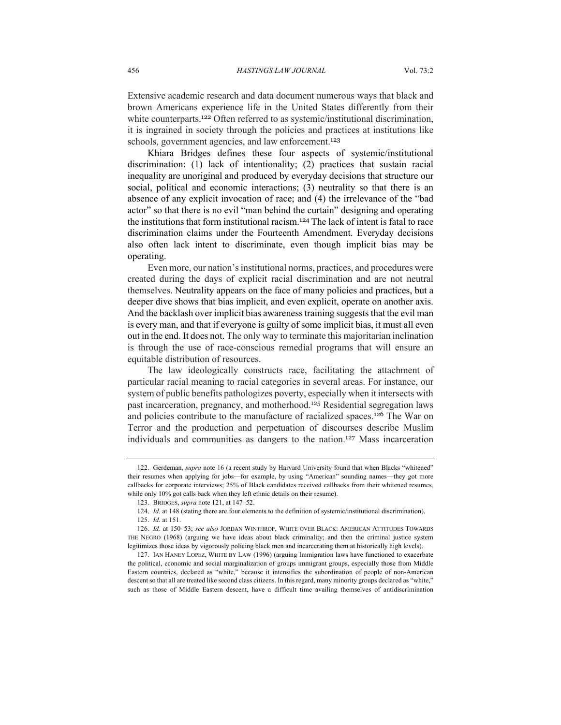Extensive academic research and data document numerous ways that black and brown Americans experience life in the United States differently from their white counterparts.<sup>122</sup> Often referred to as systemic/institutional discrimination, it is ingrained in society through the policies and practices at institutions like schools, government agencies, and law enforcement.<sup>123</sup>

Khiara Bridges defines these four aspects of systemic/institutional discrimination: (1) lack of intentionality; (2) practices that sustain racial inequality are unoriginal and produced by everyday decisions that structure our social, political and economic interactions; (3) neutrality so that there is an absence of any explicit invocation of race; and (4) the irrelevance of the "bad actor" so that there is no evil "man behind the curtain" designing and operating the institutions that form institutional racism.<sup>124</sup> The lack of intent is fatal to race discrimination claims under the Fourteenth Amendment. Everyday decisions also often lack intent to discriminate, even though implicit bias may be operating.

Even more, our nation's institutional norms, practices, and procedures were created during the days of explicit racial discrimination and are not neutral themselves. Neutrality appears on the face of many policies and practices, but a deeper dive shows that bias implicit, and even explicit, operate on another axis. And the backlash over implicit bias awareness training suggests that the evil man is every man, and that if everyone is guilty of some implicit bias, it must all even out in the end. It does not. The only way to terminate this majoritarian inclination is through the use of race-conscious remedial programs that will ensure an equitable distribution of resources.

The law ideologically constructs race, facilitating the attachment of particular racial meaning to racial categories in several areas. For instance, our system of public benefits pathologizes poverty, especially when it intersects with past incarceration, pregnancy, and motherhood.<sup>125</sup> Residential segregation laws and policies contribute to the manufacture of racialized spaces.<sup>126</sup> The War on Terror and the production and perpetuation of discourses describe Muslim individuals and communities as dangers to the nation.<sup>127</sup> Mass incarceration

<sup>122.</sup> Gerdeman, *supra* note 16 (a recent study by Harvard University found that when Blacks "whitened" their resumes when applying for jobs—for example, by using "American" sounding names—they got more callbacks for corporate interviews; 25% of Black candidates received callbacks from their whitened resumes, while only 10% got calls back when they left ethnic details on their resume).

<sup>123.</sup> BRIDGES, *supra* note 121, at 147–52.

<sup>124.</sup> *Id.* at 148 (stating there are four elements to the definition of systemic/institutional discrimination).

<sup>125.</sup> *Id.* at 151.

<sup>126.</sup> *Id.* at 150–53; *see also* JORDAN WINTHROP, WHITE OVER BLACK: AMERICAN ATTITUDES TOWARDS THE NEGRO (1968) (arguing we have ideas about black criminality; and then the criminal justice system legitimizes those ideas by vigorously policing black men and incarcerating them at historically high levels).

<sup>127.</sup> IAN HANEY LOPEZ, WHITE BY LAW (1996) (arguing Immigration laws have functioned to exacerbate the political, economic and social marginalization of groups immigrant groups, especially those from Middle Eastern countries, declared as "white," because it intensifies the subordination of people of non-American descent so that all are treated like second class citizens. In this regard, many minority groups declared as "white," such as those of Middle Eastern descent, have a difficult time availing themselves of antidiscrimination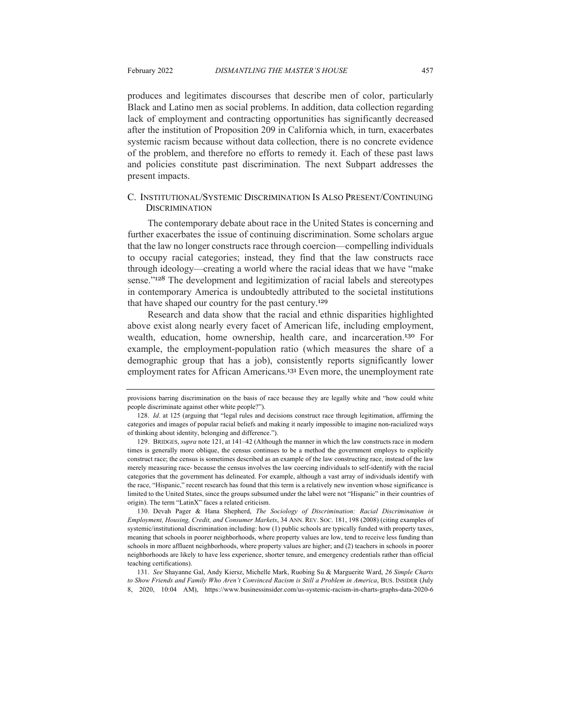produces and legitimates discourses that describe men of color, particularly Black and Latino men as social problems. In addition, data collection regarding lack of employment and contracting opportunities has significantly decreased after the institution of Proposition 209 in California which, in turn, exacerbates systemic racism because without data collection, there is no concrete evidence of the problem, and therefore no efforts to remedy it. Each of these past laws and policies constitute past discrimination. The next Subpart addresses the present impacts.

## C. INSTITUTIONAL/SYSTEMIC DISCRIMINATION IS ALSO PRESENT/CONTINUING **DISCRIMINATION**

The contemporary debate about race in the United States is concerning and further exacerbates the issue of continuing discrimination. Some scholars argue that the law no longer constructs race through coercion—compelling individuals to occupy racial categories; instead, they find that the law constructs race through ideology—creating a world where the racial ideas that we have "make sense."<sup>128</sup> The development and legitimization of racial labels and stereotypes in contemporary America is undoubtedly attributed to the societal institutions that have shaped our country for the past century.<sup>129</sup>

Research and data show that the racial and ethnic disparities highlighted above exist along nearly every facet of American life, including employment, wealth, education, home ownership, health care, and incarceration.<sup>130</sup> For example, the employment-population ratio (which measures the share of a demographic group that has a job), consistently reports significantly lower employment rates for African Americans.<sup>131</sup> Even more, the unemployment rate

provisions barring discrimination on the basis of race because they are legally white and "how could white people discriminate against other white people?").

<sup>128.</sup> *Id*. at 125 (arguing that "legal rules and decisions construct race through legitimation, affirming the categories and images of popular racial beliefs and making it nearly impossible to imagine non-racialized ways of thinking about identity, belonging and difference.").

<sup>129.</sup> BRIDGES, *supra* note 121, at 141–42 (Although the manner in which the law constructs race in modern times is generally more oblique, the census continues to be a method the government employs to explicitly construct race; the census is sometimes described as an example of the law constructing race, instead of the law merely measuring race- because the census involves the law coercing individuals to self-identify with the racial categories that the government has delineated. For example, although a vast array of individuals identify with the race, "Hispanic," recent research has found that this term is a relatively new invention whose significance is limited to the United States, since the groups subsumed under the label were not "Hispanic" in their countries of origin). The term "LatinX" faces a related criticism.

<sup>130.</sup> Devah Pager & Hana Shepherd, *The Sociology of Discrimination: Racial Discrimination in Employment, Housing, Credit, and Consumer Markets*, 34 ANN. REV. SOC. 181, 198 (2008) (citing examples of systemic/institutional discrimination including: how (1) public schools are typically funded with property taxes, meaning that schools in poorer neighborhoods, where property values are low, tend to receive less funding than schools in more affluent neighborhoods, where property values are higher; and (2) teachers in schools in poorer neighborhoods are likely to have less experience, shorter tenure, and emergency credentials rather than official teaching certifications).

<sup>131.</sup> *See* Shayanne Gal, Andy Kiersz, Michelle Mark, Ruobing Su & Marguerite Ward, *26 Simple Charts to Show Friends and Family Who Aren't Convinced Racism is Still a Problem in America*, BUS. INSIDER (July 8, 2020, 10:04 AM), https://www.businessinsider.com/us-systemic-racism-in-charts-graphs-data-2020-6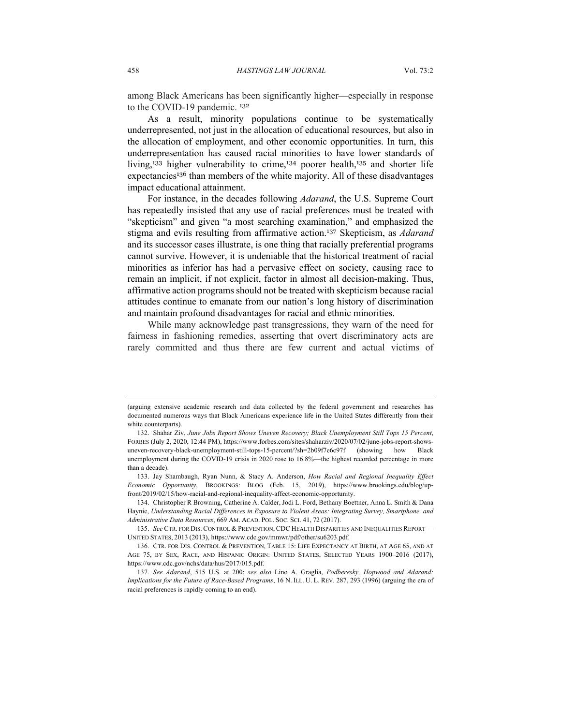among Black Americans has been significantly higher—especially in response to the COVID-19 pandemic.<sup>132</sup>

As a result, minority populations continue to be systematically underrepresented, not just in the allocation of educational resources, but also in the allocation of employment, and other economic opportunities. In turn, this underrepresentation has caused racial minorities to have lower standards of living,<sup>133</sup> higher vulnerability to crime,<sup>134</sup> poorer health,<sup>135</sup> and shorter life expectancies<sup>136</sup> than members of the white majority. All of these disadvantages impact educational attainment.

For instance, in the decades following *Adarand*, the U.S. Supreme Court has repeatedly insisted that any use of racial preferences must be treated with "skepticism" and given "a most searching examination," and emphasized the stigma and evils resulting from affirmative action.<sup>137</sup> Skepticism, as *Adarand* and its successor cases illustrate, is one thing that racially preferential programs cannot survive. However, it is undeniable that the historical treatment of racial minorities as inferior has had a pervasive effect on society, causing race to remain an implicit, if not explicit, factor in almost all decision-making. Thus, affirmative action programs should not be treated with skepticism because racial attitudes continue to emanate from our nation's long history of discrimination and maintain profound disadvantages for racial and ethnic minorities.

While many acknowledge past transgressions, they warn of the need for fairness in fashioning remedies, asserting that overt discriminatory acts are rarely committed and thus there are few current and actual victims of

<sup>(</sup>arguing extensive academic research and data collected by the federal government and researches has documented numerous ways that Black Americans experience life in the United States differently from their white counterparts).

<sup>132.</sup> Shahar Ziv, *June Jobs Report Shows Uneven Recovery; Black Unemployment Still Tops 15 Percent*, FORBES (July 2, 2020, 12:44 PM), https://www.forbes.com/sites/shaharziv/2020/07/02/june-jobs-report-showsuneven-recovery-black-unemployment-still-tops-15-percent/?sh=2b09f7e6c97f (showing how Black unemployment during the COVID-19 crisis in 2020 rose to 16.8%—the highest recorded percentage in more than a decade).

<sup>133.</sup> Jay Shambaugh, Ryan Nunn, & Stacy A. Anderson, *How Racial and Regional Inequality Effect Economic Opportunity*, BROOKINGS: BLOG (Feb. 15, 2019), https://www.brookings.edu/blog/upfront/2019/02/15/how-racial-and-regional-inequality-affect-economic-opportunity.

<sup>134.</sup> Christopher R Browning, Catherine A. Calder, Jodi L. Ford, Bethany Boettner, Anna L. Smith & Dana Haynie, *Understanding Racial Differences in Exposure to Violent Areas: Integrating Survey, Smartphone, and Administrative Data Resources*, 669 AM. ACAD. POL. SOC. SCI. 41, 72 (2017).

<sup>135.</sup> *See* CTR. FOR DIS. CONTROL & PREVENTION, CDC HEALTH DISPARITIES AND INEQUALITIES REPORT — UNITED STATES, 2013 (2013), https://www.cdc.gov/mmwr/pdf/other/su6203.pdf.

<sup>136.</sup> CTR. FOR DIS. CONTROL & PREVENTION, TABLE 15: LIFE EXPECTANCY AT BIRTH, AT AGE 65, AND AT AGE 75, BY SEX, RACE, AND HISPANIC ORIGIN: UNITED STATES, SELECTED YEARS 1900–2016 (2017), https://www.cdc.gov/nchs/data/hus/2017/015.pdf.

<sup>137.</sup> *See Adarand*, 515 U.S. at 200; *see also* Lino A. Graglia, *Podberesky, Hopwood and Adarand: Implications for the Future of Race-Based Programs*, 16 N. ILL. U. L. REV. 287, 293 (1996) (arguing the era of racial preferences is rapidly coming to an end).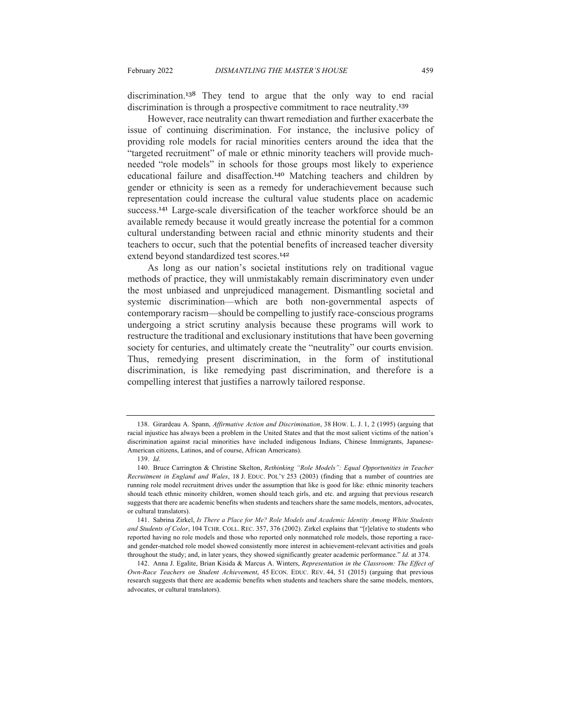discrimination.<sup>138</sup> They tend to argue that the only way to end racial discrimination is through a prospective commitment to race neutrality.<sup>139</sup>

However, race neutrality can thwart remediation and further exacerbate the issue of continuing discrimination. For instance, the inclusive policy of providing role models for racial minorities centers around the idea that the "targeted recruitment" of male or ethnic minority teachers will provide muchneeded "role models" in schools for those groups most likely to experience educational failure and disaffection.<sup>140</sup> Matching teachers and children by gender or ethnicity is seen as a remedy for underachievement because such representation could increase the cultural value students place on academic success.<sup>141</sup> Large-scale diversification of the teacher workforce should be an available remedy because it would greatly increase the potential for a common cultural understanding between racial and ethnic minority students and their teachers to occur, such that the potential benefits of increased teacher diversity extend beyond standardized test scores.<sup>142</sup>

As long as our nation's societal institutions rely on traditional vague methods of practice, they will unmistakably remain discriminatory even under the most unbiased and unprejudiced management. Dismantling societal and systemic discrimination—which are both non-governmental aspects of contemporary racism—should be compelling to justify race-conscious programs undergoing a strict scrutiny analysis because these programs will work to restructure the traditional and exclusionary institutions that have been governing society for centuries, and ultimately create the "neutrality" our courts envision. Thus, remedying present discrimination, in the form of institutional discrimination, is like remedying past discrimination, and therefore is a compelling interest that justifies a narrowly tailored response.

<sup>138.</sup> Girardeau A. Spann, *Affirmative Action and Discrimination*, 38 HOW. L. J. 1, 2 (1995) (arguing that racial injustice has always been a problem in the United States and that the most salient victims of the nation's discrimination against racial minorities have included indigenous Indians, Chinese Immigrants, Japanese-American citizens, Latinos, and of course, African Americans).

<sup>139.</sup> *Id*.

<sup>140.</sup> Bruce Carrington & Christine Skelton, *Rethinking "Role Models": Equal Opportunities in Teacher Recruitment in England and Wales*, 18 J. EDUC. POL'Y 253 (2003) (finding that a number of countries are running role model recruitment drives under the assumption that like is good for like: ethnic minority teachers should teach ethnic minority children, women should teach girls, and etc. and arguing that previous research suggests that there are academic benefits when students and teachers share the same models, mentors, advocates, or cultural translators).

<sup>141.</sup> Sabrina Zirkel, *Is There a Place for Me? Role Models and Academic Identity Among White Students and Students of Color*, 104 TCHR. COLL. REC. 357, 376 (2002). Zirkel explains that "[r]elative to students who reported having no role models and those who reported only nonmatched role models, those reporting a raceand gender-matched role model showed consistently more interest in achievement-relevant activities and goals throughout the study; and, in later years, they showed significantly greater academic performance." *Id.* at 374.

<sup>142.</sup> Anna J. Egalite, Brian Kisida & Marcus A. Winters, *Representation in the Classroom: The Effect of Own-Race Teachers on Student Achievement*, 45 ECON. EDUC. REV. 44, 51 (2015) (arguing that previous research suggests that there are academic benefits when students and teachers share the same models, mentors, advocates, or cultural translators).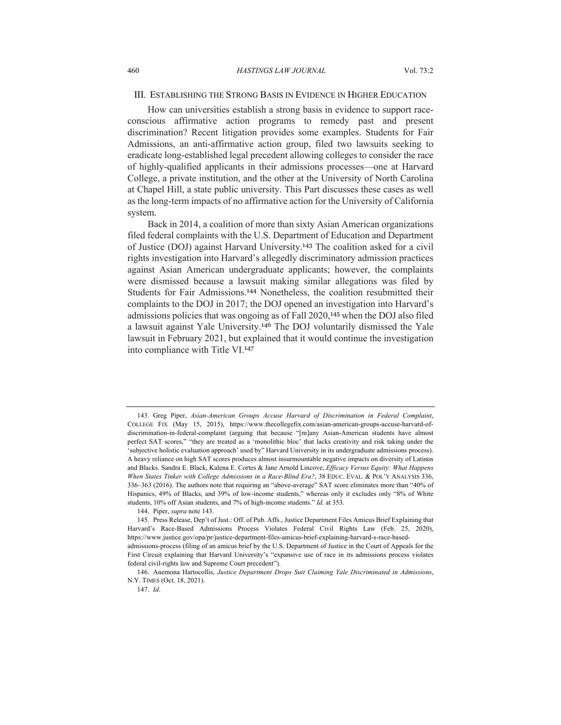### III. ESTABLISHING THE STRONG BASIS IN EVIDENCE IN HIGHER EDUCATION

How can universities establish a strong basis in evidence to support raceconscious affirmative action programs to remedy past and present discrimination? Recent litigation provides some examples. Students for Fair Admissions, an anti-affirmative action group, filed two lawsuits seeking to eradicate long-established legal precedent allowing colleges to consider the race of highly-qualified applicants in their admissions processes—one at Harvard College, a private institution, and the other at the University of North Carolina at Chapel Hill, a state public university. This Part discusses these cases as well as the long-term impacts of no affirmative action for the University of California system.

Back in 2014, a coalition of more than sixty Asian American organizations filed federal complaints with the U.S. Department of Education and Department of Justice (DOJ) against Harvard University.<sup>143</sup> The coalition asked for a civil rights investigation into Harvard's allegedly discriminatory admission practices against Asian American undergraduate applicants; however, the complaints were dismissed because a lawsuit making similar allegations was filed by Students for Fair Admissions.<sup>144</sup> Nonetheless, the coalition resubmitted their complaints to the DOJ in 2017; the DOJ opened an investigation into Harvard's admissions policies that was ongoing as of Fall 2020,<sup>145</sup> when the DOJ also filed a lawsuit against Yale University.<sup>146</sup> The DOJ voluntarily dismissed the Yale lawsuit in February 2021, but explained that it would continue the investigation into compliance with Title VI.<sup>147</sup>

<sup>143.</sup> Greg Piper, *Asian-American Groups Accuse Harvard of Discrimination in Federal Complaint*, COLLEGE FIX (May 15, 2015), https://www.thecollegefix.com/asian-american-groups-accuse-harvard-ofdiscrimination-in-federal-complaint (arguing that because "[m]any Asian-American students have almost perfect SAT scores," "they are treated as a 'monolithic bloc' that lacks creativity and risk taking under the 'subjective holistic evaluation approach' used by" Harvard University in its undergraduate admissions process). A heavy reliance on high SAT scores produces almost insurmountable negative impacts on diversity of Latinos and Blacks. Sandra E. Black, Kalena E. Cortes & Jane Arnold Lincove, *Efficacy Versus Equity: What Happens When States Tinker with College Admissions in a Race-Blind Era?*, 38 EDUC. EVAL. & POL'Y ANALYSIS 336, 336–363 (2016). The authors note that requiring an "above-average" SAT score eliminates more than "40% of Hispanics, 49% of Blacks, and 39% of low-income students," whereas only it excludes only "8% of White students, 10% off Asian students, and 7% of high-income students." *Id.* at 353.

<sup>144.</sup> Piper, *supra* note 143.

<sup>145.</sup> Press Release, Dep't of Just.: Off. of Pub. Affs., Justice Department Files Amicus Brief Explaining that Harvard's Race-Based Admissions Process Violates Federal Civil Rights Law (Feb. 25, 2020), https://www.justice.gov/opa/pr/justice-department-files-amicus-brief-explaining-harvard-s-race-basedadmissions-process (filing of an amicus brief by the U.S. Department of Justice in the Court of Appeals for the First Circuit explaining that Harvard University's "expansive use of race in its admissions process violates federal civil-rights law and Supreme Court precedent").

<sup>146.</sup> Anemona Hartocollis, *Justice Department Drops Suit Claiming Yale Discriminated in Admissions*, N.Y. TIMES (Oct. 18, 2021).

<sup>147.</sup> *Id*.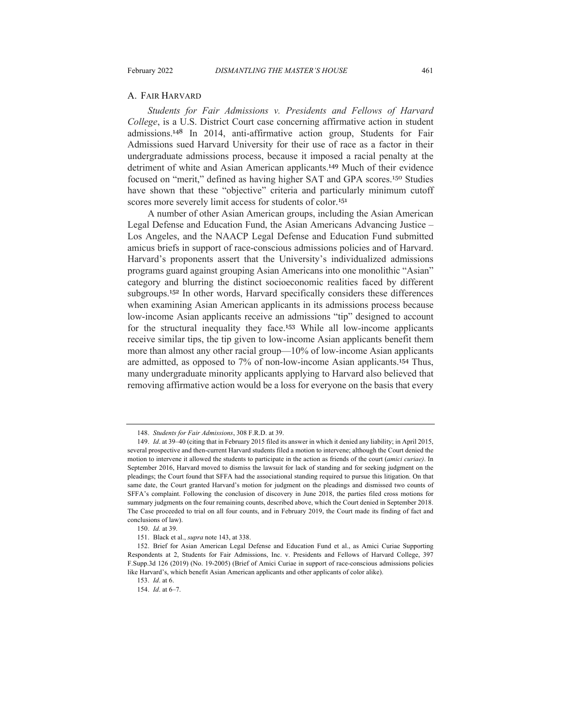### A. FAIR HARVARD

*Students for Fair Admissions v. Presidents and Fellows of Harvard College*, is a U.S. District Court case concerning affirmative action in student admissions.<sup>148</sup> In 2014, anti-affirmative action group, Students for Fair Admissions sued Harvard University for their use of race as a factor in their undergraduate admissions process, because it imposed a racial penalty at the detriment of white and Asian American applicants.<sup>149</sup> Much of their evidence focused on "merit," defined as having higher SAT and GPA scores.<sup>150</sup> Studies have shown that these "objective" criteria and particularly minimum cutoff scores more severely limit access for students of color.<sup>151</sup>

A number of other Asian American groups, including the Asian American Legal Defense and Education Fund, the Asian Americans Advancing Justice – Los Angeles, and the NAACP Legal Defense and Education Fund submitted amicus briefs in support of race-conscious admissions policies and of Harvard. Harvard's proponents assert that the University's individualized admissions programs guard against grouping Asian Americans into one monolithic "Asian" category and blurring the distinct socioeconomic realities faced by different subgroups.<sup>152</sup> In other words, Harvard specifically considers these differences when examining Asian American applicants in its admissions process because low-income Asian applicants receive an admissions "tip" designed to account for the structural inequality they face.<sup>153</sup> While all low-income applicants receive similar tips, the tip given to low-income Asian applicants benefit them more than almost any other racial group—10% of low-income Asian applicants are admitted, as opposed to 7% of non-low-income Asian applicants. <sup>154</sup> Thus, many undergraduate minority applicants applying to Harvard also believed that removing affirmative action would be a loss for everyone on the basis that every

<sup>148.</sup> *Students for Fair Admissions*, 308 F.R.D. at 39.

<sup>149.</sup> *Id*. at 39–40 (citing that in February 2015 filed its answer in which it denied any liability; in April 2015, several prospective and then-current Harvard students filed a motion to intervene; although the Court denied the motion to intervene it allowed the students to participate in the action as friends of the court (*amici curiae)*. In September 2016, Harvard moved to dismiss the lawsuit for lack of standing and for seeking judgment on the pleadings; the Court found that SFFA had the associational standing required to pursue this litigation. On that same date, the Court granted Harvard's motion for judgment on the pleadings and dismissed two counts of SFFA's complaint. Following the conclusion of discovery in June 2018, the parties filed cross motions for summary judgments on the four remaining counts, described above, which the Court denied in September 2018. The Case proceeded to trial on all four counts, and in February 2019, the Court made its finding of fact and conclusions of law).

<sup>150.</sup> *Id.* at 39.

<sup>151.</sup> Black et al., *supra* note 143, at 338.

<sup>152.</sup> Brief for Asian American Legal Defense and Education Fund et al., as Amici Curiae Supporting Respondents at 2, Students for Fair Admissions, Inc. v. Presidents and Fellows of Harvard College, 397 F.Supp.3d 126 (2019) (No. 19-2005) (Brief of Amici Curiae in support of race-conscious admissions policies like Harvard's, which benefit Asian American applicants and other applicants of color alike).

<sup>153.</sup> *Id*. at 6.

<sup>154.</sup> *Id*. at 6–7.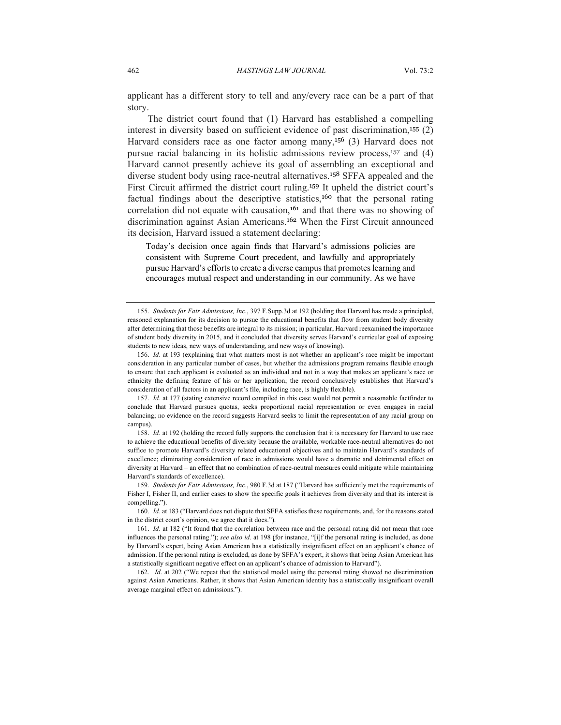applicant has a different story to tell and any/every race can be a part of that story.

The district court found that (1) Harvard has established a compelling interest in diversity based on sufficient evidence of past discrimination,<sup>155</sup>  $(2)$ Harvard considers race as one factor among many,<sup>156</sup> (3) Harvard does not pursue racial balancing in its holistic admissions review process,<sup>157</sup> and (4) Harvard cannot presently achieve its goal of assembling an exceptional and diverse student body using race-neutral alternatives.<sup>158</sup> SFFA appealed and the First Circuit affirmed the district court ruling.<sup>159</sup> It upheld the district court's factual findings about the descriptive statistics,<sup>160</sup> that the personal rating correlation did not equate with causation,<sup>161</sup> and that there was no showing of discrimination against Asian Americans. <sup>162</sup> When the First Circuit announced its decision, Harvard issued a statement declaring:

Today's decision once again finds that Harvard's admissions policies are consistent with Supreme Court precedent, and lawfully and appropriately pursue Harvard's efforts to create a diverse campus that promotes learning and encourages mutual respect and understanding in our community. As we have

156. *Id*. at 193 (explaining that what matters most is not whether an applicant's race might be important consideration in any particular number of cases, but whether the admissions program remains flexible enough to ensure that each applicant is evaluated as an individual and not in a way that makes an applicant's race or ethnicity the defining feature of his or her application; the record conclusively establishes that Harvard's consideration of all factors in an applicant's file, including race, is highly flexible).

157. *Id*. at 177 (stating extensive record compiled in this case would not permit a reasonable factfinder to conclude that Harvard pursues quotas, seeks proportional racial representation or even engages in racial balancing; no evidence on the record suggests Harvard seeks to limit the representation of any racial group on campus).

158. *Id*. at 192 (holding the record fully supports the conclusion that it is necessary for Harvard to use race to achieve the educational benefits of diversity because the available, workable race-neutral alternatives do not suffice to promote Harvard's diversity related educational objectives and to maintain Harvard's standards of excellence; eliminating consideration of race in admissions would have a dramatic and detrimental effect on diversity at Harvard – an effect that no combination of race-neutral measures could mitigate while maintaining Harvard's standards of excellence).

159. *Students for Fair Admissions, Inc.*, 980 F.3d at 187 ("Harvard has sufficiently met the requirements of Fisher I, Fisher II, and earlier cases to show the specific goals it achieves from diversity and that its interest is compelling.").

160. *Id*. at 183 ("Harvard does not dispute that SFFA satisfies these requirements, and, for the reasons stated in the district court's opinion, we agree that it does.").

162. *Id*. at 202 ("We repeat that the statistical model using the personal rating showed no discrimination against Asian Americans. Rather, it shows that Asian American identity has a statistically insignificant overall average marginal effect on admissions.").

<sup>155.</sup> *Students for Fair Admissions, Inc.*, 397 F.Supp.3d at 192 (holding that Harvard has made a principled, reasoned explanation for its decision to pursue the educational benefits that flow from student body diversity after determining that those benefits are integral to its mission; in particular, Harvard reexamined the importance of student body diversity in 2015, and it concluded that diversity serves Harvard's curricular goal of exposing students to new ideas, new ways of understanding, and new ways of knowing).

<sup>161.</sup> *Id*. at 182 ("It found that the correlation between race and the personal rating did not mean that race influences the personal rating."); *see also id*. at 198 (for instance, "[i]f the personal rating is included, as done by Harvard's expert, being Asian American has a statistically insignificant effect on an applicant's chance of admission. If the personal rating is excluded, as done by SFFA's expert, it shows that being Asian American has a statistically significant negative effect on an applicant's chance of admission to Harvard").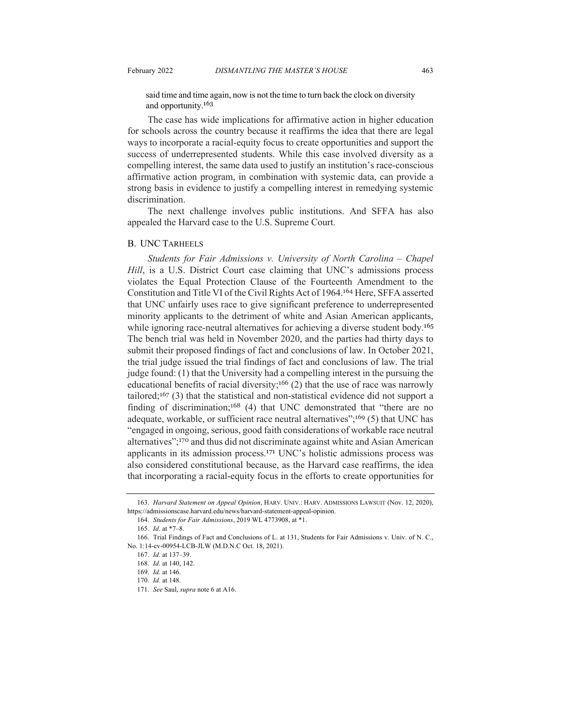said time and time again, now is not the time to turn back the clock on diversity and opportunity.<sup>163</sup>

The case has wide implications for affirmative action in higher education for schools across the country because it reaffirms the idea that there are legal ways to incorporate a racial-equity focus to create opportunities and support the success of underrepresented students. While this case involved diversity as a compelling interest, the same data used to justify an institution's race-conscious affirmative action program, in combination with systemic data, can provide a strong basis in evidence to justify a compelling interest in remedying systemic discrimination.

The next challenge involves public institutions. And SFFA has also appealed the Harvard case to the U.S. Supreme Court.

#### B. UNC TARHEELS

*Students for Fair Admissions v. University of North Carolina – Chapel Hill*, is a U.S. District Court case claiming that UNC's admissions process violates the Equal Protection Clause of the Fourteenth Amendment to the Constitution and Title VI of the Civil Rights Act of 1964.<sup>164</sup> Here, SFFA asserted that UNC unfairly uses race to give significant preference to underrepresented minority applicants to the detriment of white and Asian American applicants, while ignoring race-neutral alternatives for achieving a diverse student body.<sup>165</sup> The bench trial was held in November 2020, and the parties had thirty days to submit their proposed findings of fact and conclusions of law. In October 2021, the trial judge issued the trial findings of fact and conclusions of law. The trial judge found: (1) that the University had a compelling interest in the pursuing the educational benefits of racial diversity;<sup>166</sup> (2) that the use of race was narrowly tailored; <sup>167</sup> (3) that the statistical and non-statistical evidence did not support a finding of discrimination;<sup>168</sup> (4) that UNC demonstrated that "there are no adequate, workable, or sufficient race neutral alternatives"; <sup>169</sup> (5) that UNC has "engaged in ongoing, serious, good faith considerations of workable race neutral alternatives"; <sup>170</sup> and thus did not discriminate against white and Asian American applicants in its admission process. <sup>171</sup> UNC's holistic admissions process was also considered constitutional because, as the Harvard case reaffirms, the idea that incorporating a racial-equity focus in the efforts to create opportunities for

<sup>163.</sup> *Harvard Statement on Appeal Opinion*, HARV. UNIV.: HARV. ADMISSIONS LAWSUIT (Nov. 12, 2020), https://admissionscase.harvard.edu/news/harvard-statement-appeal-opinion.

<sup>164.</sup> *Students for Fair Admissions*, 2019 WL 4773908, at \*1.

<sup>165.</sup> *Id*. at \*7–8.

<sup>166.</sup> Trial Findings of Fact and Conclusions of L. at 131, Students for Fair Admissions v. Univ. of N. C., No. 1:14-cv-00954-LCB-JLW (M.D.N.C Oct. 18, 2021).

<sup>167.</sup> *Id.* at 137–39.

<sup>168.</sup> *Id.* at 140, 142.

<sup>169.</sup> *Id.* at 146.

<sup>170.</sup> *Id.* at 148.

<sup>171.</sup> *See* Saul, *supra* note 6 at A16.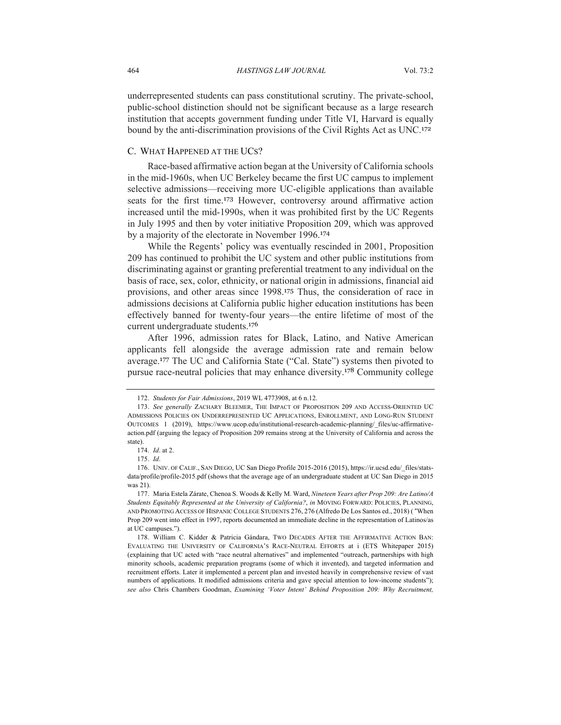underrepresented students can pass constitutional scrutiny. The private-school, public-school distinction should not be significant because as a large research institution that accepts government funding under Title VI, Harvard is equally bound by the anti-discrimination provisions of the Civil Rights Act as UNC.<sup>172</sup>

## C. WHAT HAPPENED AT THE UCS?

Race-based affirmative action began at the University of California schools in the mid-1960s, when UC Berkeley became the first UC campus to implement selective admissions—receiving more UC-eligible applications than available seats for the first time.<sup>173</sup> However, controversy around affirmative action increased until the mid-1990s, when it was prohibited first by the UC Regents in July 1995 and then by voter initiative Proposition 209, which was approved by a majority of the electorate in November 1996.<sup>174</sup>

While the Regents' policy was eventually rescinded in 2001, Proposition 209 has continued to prohibit the UC system and other public institutions from discriminating against or granting preferential treatment to any individual on the basis of race, sex, color, ethnicity, or national origin in admissions, financial aid provisions, and other areas since 1998.<sup>175</sup> Thus, the consideration of race in admissions decisions at California public higher education institutions has been effectively banned for twenty-four years—the entire lifetime of most of the current undergraduate students.<sup>176</sup>

After 1996, admission rates for Black, Latino, and Native American applicants fell alongside the average admission rate and remain below average.<sup>177</sup> The UC and California State ("Cal. State") systems then pivoted to pursue race-neutral policies that may enhance diversity.<sup>178</sup> Community college

<sup>172.</sup> *Students for Fair Admissions*, 2019 WL 4773908, at 6 n.12.

<sup>173.</sup> *See generally* ZACHARY BLEEMER, THE IMPACT OF PROPOSITION 209 AND ACCESS-ORIENTED UC ADMISSIONS POLICIES ON UNDERREPRESENTED UC APPLICATIONS, ENROLLMENT, AND LONG-RUN STUDENT OUTCOMES 1 (2019), https://www.ucop.edu/institutional-research-academic-planning/\_files/uc-affirmativeaction.pdf (arguing the legacy of Proposition 209 remains strong at the University of California and across the state).

<sup>174.</sup> *Id*. at 2.

<sup>175.</sup> *Id*.

<sup>176.</sup> UNIV. OF CALIF., SAN DIEGO, UC San Diego Profile 2015-2016 (2015), https://ir.ucsd.edu/\_files/statsdata/profile/profile-2015.pdf (shows that the average age of an undergraduate student at UC San Diego in 2015 was 21).

<sup>177.</sup> Maria Estela Zárate, Chenoa S. Woods & Kelly M. Ward, *Nineteen Years after Prop 209: Are Latino/A Students Equitably Represented at the University of California?*, *in* MOVING FORWARD: POLICIES, PLANNING, AND PROMOTING ACCESS OF HISPANIC COLLEGE STUDENTS 276, 276 (Alfredo De Los Santos ed., 2018) ( "When Prop 209 went into effect in 1997, reports documented an immediate decline in the representation of Latinos/as at UC campuses.").

<sup>178.</sup> William C. Kidder & Patricia Gándara, TWO DECADES AFTER THE AFFIRMATIVE ACTION BAN: EVALUATING THE UNIVERSITY OF CALIFORNIA'S RACE-NEUTRAL EFFORTS at i (ETS Whitepaper 2015) (explaining that UC acted with "race neutral alternatives" and implemented "outreach, partnerships with high minority schools, academic preparation programs (some of which it invented), and targeted information and recruitment efforts. Later it implemented a percent plan and invested heavily in comprehensive review of vast numbers of applications. It modified admissions criteria and gave special attention to low-income students"); *see also* Chris Chambers Goodman, *Examining 'Voter Intent' Behind Proposition 209: Why Recruitment,*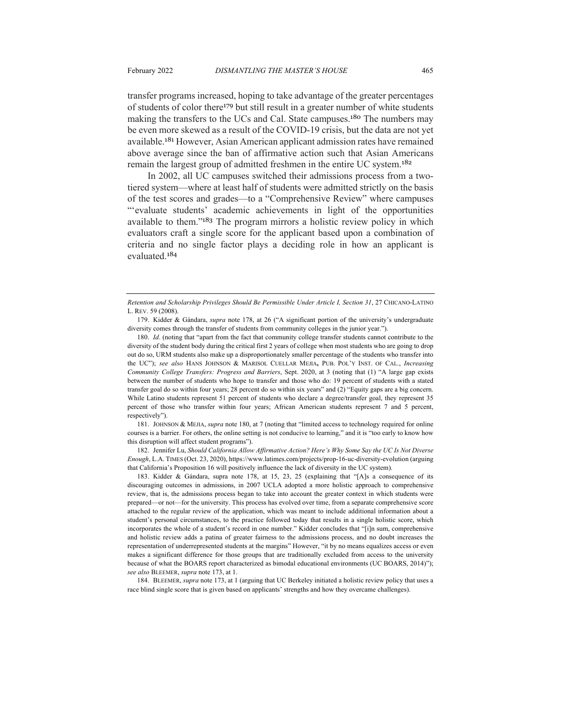transfer programs increased, hoping to take advantage of the greater percentages of students of color there<sup>179</sup> but still result in a greater number of white students making the transfers to the UCs and Cal. State campuses.<sup>180</sup> The numbers may be even more skewed as a result of the COVID-19 crisis, but the data are not yet available. <sup>181</sup> However, Asian American applicant admission rates have remained above average since the ban of affirmative action such that Asian Americans remain the largest group of admitted freshmen in the entire UC system.<sup>182</sup>

In 2002, all UC campuses switched their admissions process from a twotiered system—where at least half of students were admitted strictly on the basis of the test scores and grades—to a "Comprehensive Review" where campuses "'evaluate students' academic achievements in light of the opportunities available to them."<sup>183</sup> The program mirrors a holistic review policy in which evaluators craft a single score for the applicant based upon a combination of criteria and no single factor plays a deciding role in how an applicant is evaluated.<sup>184</sup>

181. JOHNSON & MEJIA, *supra* note 180, at 7 (noting that "limited access to technology required for online courses is a barrier. For others, the online setting is not conducive to learning," and it is "too early to know how this disruption will affect student programs").

182. Jennifer Lu, *Should California Allow Affirmative Action? Here's Why Some Say the UC Is Not Diverse Enough*, L.A. TIMES (Oct. 23, 2020), https://www.latimes.com/projects/prop-16-uc-diversity-evolution (arguing that California's Proposition 16 will positively influence the lack of diversity in the UC system).

183. Kidder & Gándara, supra note 178, at 15, 23, 25 (explaining that "[A]s a consequence of its discouraging outcomes in admissions, in 2007 UCLA adopted a more holistic approach to comprehensive review, that is, the admissions process began to take into account the greater context in which students were prepared—or not—for the university. This process has evolved over time, from a separate comprehensive score attached to the regular review of the application, which was meant to include additional information about a student's personal circumstances, to the practice followed today that results in a single holistic score, which incorporates the whole of a student's record in one number." Kidder concludes that "[i]n sum, comprehensive and holistic review adds a patina of greater fairness to the admissions process, and no doubt increases the representation of underrepresented students at the margins" However, "it by no means equalizes access or even makes a significant difference for those groups that are traditionally excluded from access to the university because of what the BOARS report characterized as bimodal educational environments (UC BOARS, 2014)"); *see also* BLEEMER, *supra* note 173, at 1.

184. BLEEMER, *supra* note 173, at 1 (arguing that UC Berkeley initiated a holistic review policy that uses a race blind single score that is given based on applicants' strengths and how they overcame challenges).

*Retention and Scholarship Privileges Should Be Permissible Under Article I, Section 31*, 27 CHICANO-LATINO L. REV. 59 (2008).

<sup>179.</sup> Kidder & Gándara, *supra* note 178, at 26 ("A significant portion of the university's undergraduate diversity comes through the transfer of students from community colleges in the junior year.").

<sup>180.</sup> *Id*. (noting that "apart from the fact that community college transfer students cannot contribute to the diversity of the student body during the critical first 2 years of college when most students who are going to drop out do so, URM students also make up a disproportionately smaller percentage of the students who transfer into the UC"); *see also* HANS JOHNSON & MARISOL CUELLAR MEJIA**,** PUB. POL'Y INST. OF CAL., *Increasing Community College Transfers: Progress and Barriers*, Sept. 2020, at 3 (noting that (1) "A large gap exists between the number of students who hope to transfer and those who do: 19 percent of students with a stated transfer goal do so within four years; 28 percent do so within six years" and (2) "Equity gaps are a big concern. While Latino students represent 51 percent of students who declare a degree/transfer goal, they represent 35 percent of those who transfer within four years; African American students represent 7 and 5 percent, respectively").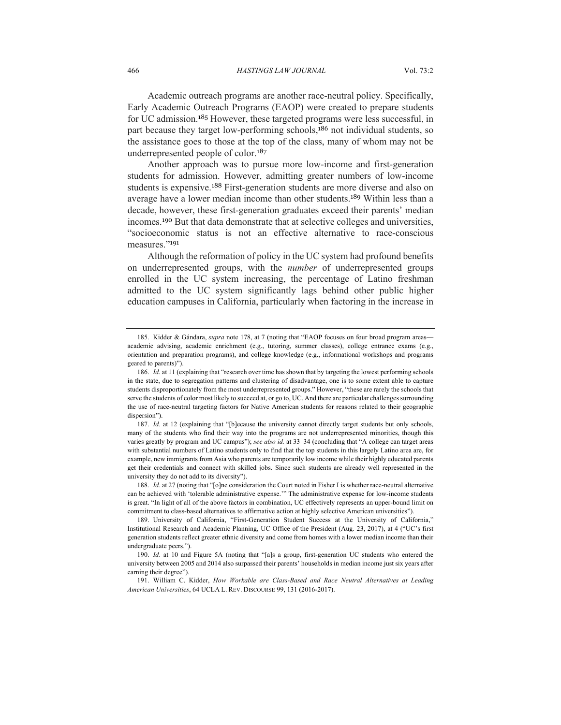Academic outreach programs are another race-neutral policy. Specifically, Early Academic Outreach Programs (EAOP) were created to prepare students for UC admission.<sup>185</sup> However, these targeted programs were less successful, in part because they target low-performing schools,<sup>186</sup> not individual students, so the assistance goes to those at the top of the class, many of whom may not be underrepresented people of color.<sup>187</sup>

Another approach was to pursue more low-income and first-generation students for admission. However, admitting greater numbers of low-income students is expensive.<sup>188</sup> First-generation students are more diverse and also on average have a lower median income than other students.<sup>189</sup> Within less than a decade, however, these first-generation graduates exceed their parents' median incomes.<sup>190</sup> But that data demonstrate that at selective colleges and universities, "socioeconomic status is not an effective alternative to race-conscious measures."<sup>191</sup>

Although the reformation of policy in the UC system had profound benefits on underrepresented groups, with the *number* of underrepresented groups enrolled in the UC system increasing, the percentage of Latino freshman admitted to the UC system significantly lags behind other public higher education campuses in California, particularly when factoring in the increase in

188. *Id.* at 27 (noting that "[o]ne consideration the Court noted in Fisher I is whether race-neutral alternative can be achieved with 'tolerable administrative expense.'" The administrative expense for low-income students is great. "In light of all of the above factors in combination, UC effectively represents an upper-bound limit on commitment to class-based alternatives to affirmative action at highly selective American universities").

<sup>185.</sup> Kidder & Gándara, *supra* note 178, at 7 (noting that "EAOP focuses on four broad program areas academic advising, academic enrichment (e.g., tutoring, summer classes), college entrance exams (e.g., orientation and preparation programs), and college knowledge (e.g., informational workshops and programs geared to parents)").

<sup>186.</sup> *Id.* at 11 (explaining that "research over time has shown that by targeting the lowest performing schools in the state, due to segregation patterns and clustering of disadvantage, one is to some extent able to capture students disproportionately from the most underrepresented groups." However, "these are rarely the schools that serve the students of color most likely to succeed at, or go to, UC. And there are particular challenges surrounding the use of race-neutral targeting factors for Native American students for reasons related to their geographic dispersion").

<sup>187.</sup> *Id.* at 12 (explaining that "[b]ecause the university cannot directly target students but only schools, many of the students who find their way into the programs are not underrepresented minorities, though this varies greatly by program and UC campus"); *see also id.* at 33–34 (concluding that "A college can target areas with substantial numbers of Latino students only to find that the top students in this largely Latino area are, for example, new immigrants from Asia who parents are temporarily low income while their highly educated parents get their credentials and connect with skilled jobs. Since such students are already well represented in the university they do not add to its diversity").

<sup>189.</sup> University of California, "First-Generation Student Success at the University of California," Institutional Research and Academic Planning, UC Office of the President (Aug. 23, 2017), at 4 ("UC's first generation students reflect greater ethnic diversity and come from homes with a lower median income than their undergraduate peers.").

<sup>190.</sup> *Id*. at 10 and Figure 5A (noting that "[a]s a group, first-generation UC students who entered the university between 2005 and 2014 also surpassed their parents' households in median income just six years after earning their degree").

<sup>191.</sup> William C. Kidder, *How Workable are Class-Based and Race Neutral Alternatives at Leading American Universities*, 64 UCLA L. REV. DISCOURSE 99, 131 (2016-2017).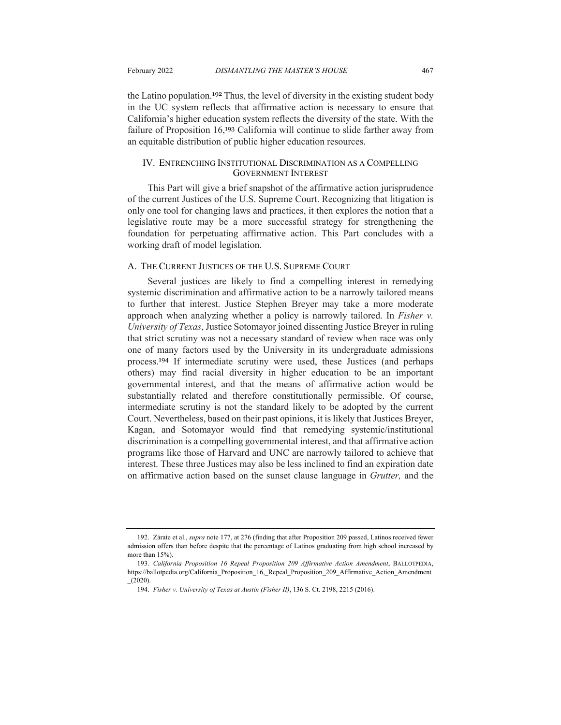the Latino population.<sup>192</sup> Thus, the level of diversity in the existing student body in the UC system reflects that affirmative action is necessary to ensure that California's higher education system reflects the diversity of the state. With the failure of Proposition 16,<sup>193</sup> California will continue to slide farther away from an equitable distribution of public higher education resources.

## IV. ENTRENCHING INSTITUTIONAL DISCRIMINATION AS A COMPELLING GOVERNMENT INTEREST

This Part will give a brief snapshot of the affirmative action jurisprudence of the current Justices of the U.S. Supreme Court. Recognizing that litigation is only one tool for changing laws and practices, it then explores the notion that a legislative route may be a more successful strategy for strengthening the foundation for perpetuating affirmative action. This Part concludes with a working draft of model legislation.

## A. THE CURRENT JUSTICES OF THE U.S. SUPREME COURT

Several justices are likely to find a compelling interest in remedying systemic discrimination and affirmative action to be a narrowly tailored means to further that interest. Justice Stephen Breyer may take a more moderate approach when analyzing whether a policy is narrowly tailored. In *Fisher v. University of Texas*, Justice Sotomayor joined dissenting Justice Breyer in ruling that strict scrutiny was not a necessary standard of review when race was only one of many factors used by the University in its undergraduate admissions process.<sup>194</sup> If intermediate scrutiny were used, these Justices (and perhaps others) may find racial diversity in higher education to be an important governmental interest, and that the means of affirmative action would be substantially related and therefore constitutionally permissible. Of course, intermediate scrutiny is not the standard likely to be adopted by the current Court. Nevertheless, based on their past opinions, it is likely that Justices Breyer, Kagan, and Sotomayor would find that remedying systemic/institutional discrimination is a compelling governmental interest, and that affirmative action programs like those of Harvard and UNC are narrowly tailored to achieve that interest. These three Justices may also be less inclined to find an expiration date on affirmative action based on the sunset clause language in *Grutter,* and the

<sup>192.</sup> Zárate et al., *supra* note 177, at 276 (finding that after Proposition 209 passed, Latinos received fewer admission offers than before despite that the percentage of Latinos graduating from high school increased by more than 15%).

<sup>193.</sup> *California Proposition 16 Repeal Proposition 209 Affirmative Action Amendment*, BALLOTPEDIA, https://ballotpedia.org/California Proposition 16, Repeal Proposition 209 Affirmative Action Amendment  $(2020)$ .

<sup>194.</sup> *Fisher v. University of Texas at Austin (Fisher II)*, 136 S. Ct. 2198, 2215 (2016).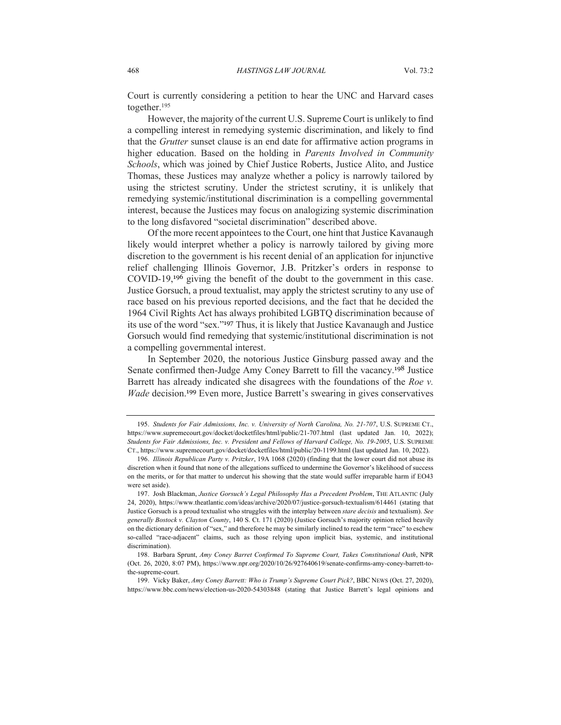Court is currently considering a petition to hear the UNC and Harvard cases together. 195

However, the majority of the current U.S. Supreme Court is unlikely to find a compelling interest in remedying systemic discrimination, and likely to find that the *Grutter* sunset clause is an end date for affirmative action programs in higher education. Based on the holding in *Parents Involved in Community Schools*, which was joined by Chief Justice Roberts, Justice Alito, and Justice Thomas, these Justices may analyze whether a policy is narrowly tailored by using the strictest scrutiny. Under the strictest scrutiny, it is unlikely that remedying systemic/institutional discrimination is a compelling governmental interest, because the Justices may focus on analogizing systemic discrimination to the long disfavored "societal discrimination" described above.

Of the more recent appointees to the Court, one hint that Justice Kavanaugh likely would interpret whether a policy is narrowly tailored by giving more discretion to the government is his recent denial of an application for injunctive relief challenging Illinois Governor, J.B. Pritzker's orders in response to COVID-19,<sup>196</sup> giving the benefit of the doubt to the government in this case. Justice Gorsuch, a proud textualist, may apply the strictest scrutiny to any use of race based on his previous reported decisions, and the fact that he decided the 1964 Civil Rights Act has always prohibited LGBTQ discrimination because of its use of the word "sex."<sup>197</sup> Thus, it is likely that Justice Kavanaugh and Justice Gorsuch would find remedying that systemic/institutional discrimination is not a compelling governmental interest.

In September 2020, the notorious Justice Ginsburg passed away and the Senate confirmed then-Judge Amy Coney Barrett to fill the vacancy.<sup>198</sup> Justice Barrett has already indicated she disagrees with the foundations of the *Roe v. Wade* decision.<sup>199</sup> Even more, Justice Barrett's swearing in gives conservatives

<sup>195</sup>. *Students for Fair Admissions, Inc. v. University of North Carolina, No. 21-707*, U.S. SUPREME CT., https://www.supremecourt.gov/docket/docketfiles/html/public/21-707.html (last updated Jan. 10, 2022); *Students for Fair Admissions, Inc. v. President and Fellows of Harvard College, No. 19-2005*, U.S. SUPREME CT., https://www.supremecourt.gov/docket/docketfiles/html/public/20-1199.html (last updated Jan. 10, 2022).

<sup>196.</sup> *Illinois Republican Party v. Pritzker*, 19A 1068 (2020) (finding that the lower court did not abuse its discretion when it found that none of the allegations sufficed to undermine the Governor's likelihood of success on the merits, or for that matter to undercut his showing that the state would suffer irreparable harm if EO43 were set aside).

<sup>197.</sup> Josh Blackman, *Justice Gorsuch's Legal Philosophy Has a Precedent Problem*, THE ATLANTIC (July 24, 2020), https://www.theatlantic.com/ideas/archive/2020/07/justice-gorsuch-textualism/614461 (stating that Justice Gorsuch is a proud textualist who struggles with the interplay between *stare decisis* and textualism). *See generally Bostock v. Clayton County*, 140 S. Ct. 171 (2020) (Justice Gorsuch's majority opinion relied heavily on the dictionary definition of "sex," and therefore he may be similarly inclined to read the term "race" to eschew so-called "race-adjacent" claims, such as those relying upon implicit bias, systemic, and institutional discrimination).

<sup>198.</sup> Barbara Sprunt, *Amy Coney Barret Confirmed To Supreme Court, Takes Constitutional Oath*, NPR (Oct. 26, 2020, 8:07 PM), https://www.npr.org/2020/10/26/927640619/senate-confirms-amy-coney-barrett-tothe-supreme-court.

<sup>199.</sup> Vicky Baker, *Amy Coney Barrett: Who is Trump's Supreme Court Pick?*, BBC NEWS (Oct. 27, 2020), https://www.bbc.com/news/election-us-2020-54303848 (stating that Justice Barrett's legal opinions and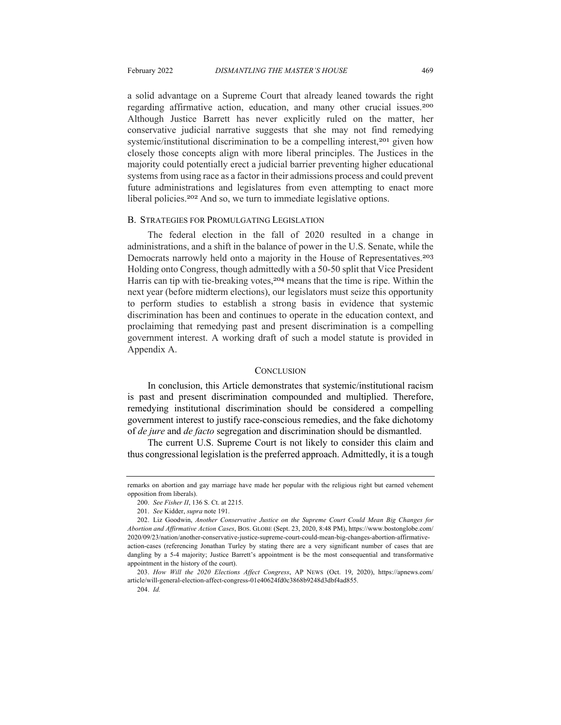a solid advantage on a Supreme Court that already leaned towards the right regarding affirmative action, education, and many other crucial issues.<sup>200</sup> Although Justice Barrett has never explicitly ruled on the matter, her conservative judicial narrative suggests that she may not find remedying systemic/institutional discrimination to be a compelling interest,<sup>201</sup> given how closely those concepts align with more liberal principles. The Justices in the majority could potentially erect a judicial barrier preventing higher educational systems from using race as a factor in their admissions process and could prevent future administrations and legislatures from even attempting to enact more liberal policies.<sup>202</sup> And so, we turn to immediate legislative options.

#### B. STRATEGIES FOR PROMULGATING LEGISLATION

The federal election in the fall of 2020 resulted in a change in administrations, and a shift in the balance of power in the U.S. Senate, while the Democrats narrowly held onto a majority in the House of Representatives.<sup>203</sup> Holding onto Congress, though admittedly with a 50-50 split that Vice President Harris can tip with tie-breaking votes,<sup>204</sup> means that the time is ripe. Within the next year (before midterm elections), our legislators must seize this opportunity to perform studies to establish a strong basis in evidence that systemic discrimination has been and continues to operate in the education context, and proclaiming that remedying past and present discrimination is a compelling government interest. A working draft of such a model statute is provided in Appendix A.

### **CONCLUSION**

In conclusion, this Article demonstrates that systemic/institutional racism is past and present discrimination compounded and multiplied. Therefore, remedying institutional discrimination should be considered a compelling government interest to justify race-conscious remedies, and the fake dichotomy of *de jure* and *de facto* segregation and discrimination should be dismantled.

The current U.S. Supreme Court is not likely to consider this claim and thus congressional legislation is the preferred approach. Admittedly, it is a tough

204. *Id.*

remarks on abortion and gay marriage have made her popular with the religious right but earned vehement opposition from liberals).

<sup>200.</sup> *See Fisher II*, 136 S. Ct. at 2215.

<sup>201.</sup> *See* Kidder, *supra* note 191.

<sup>202.</sup> Liz Goodwin, *Another Conservative Justice on the Supreme Court Could Mean Big Changes for Abortion and Affirmative Action Cases*, BOS. GLOBE (Sept. 23, 2020, 8:48 PM), https://www.bostonglobe.com/ 2020/09/23/nation/another-conservative-justice-supreme-court-could-mean-big-changes-abortion-affirmativeaction-cases (referencing Jonathan Turley by stating there are a very significant number of cases that are dangling by a 5-4 majority; Justice Barrett's appointment is be the most consequential and transformative appointment in the history of the court).

<sup>203.</sup> *How Will the 2020 Elections Affect Congress*, AP NEWS (Oct. 19, 2020), https://apnews.com/ article/will-general-election-affect-congress-01e40624fd0c3868b9248d3dbf4ad855.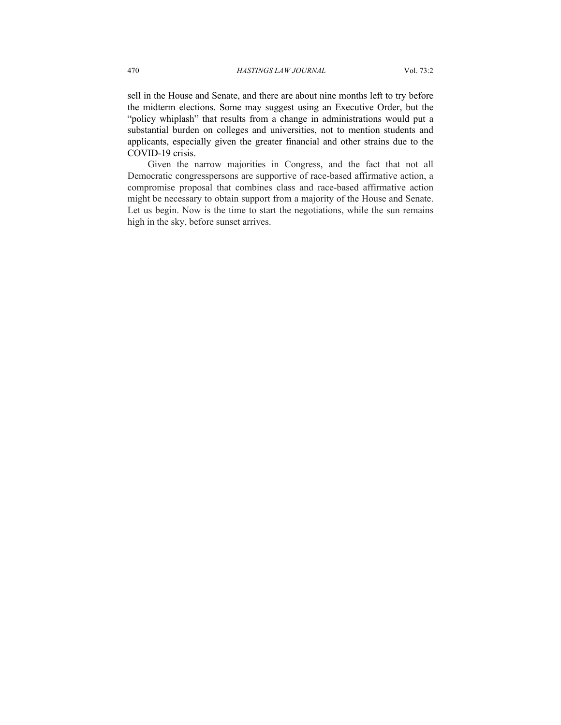sell in the House and Senate, and there are about nine months left to try before the midterm elections. Some may suggest using an Executive Order, but the "policy whiplash" that results from a change in administrations would put a substantial burden on colleges and universities, not to mention students and applicants, especially given the greater financial and other strains due to the COVID-19 crisis.

Given the narrow majorities in Congress, and the fact that not all Democratic congresspersons are supportive of race-based affirmative action, a compromise proposal that combines class and race-based affirmative action might be necessary to obtain support from a majority of the House and Senate. Let us begin. Now is the time to start the negotiations, while the sun remains high in the sky, before sunset arrives.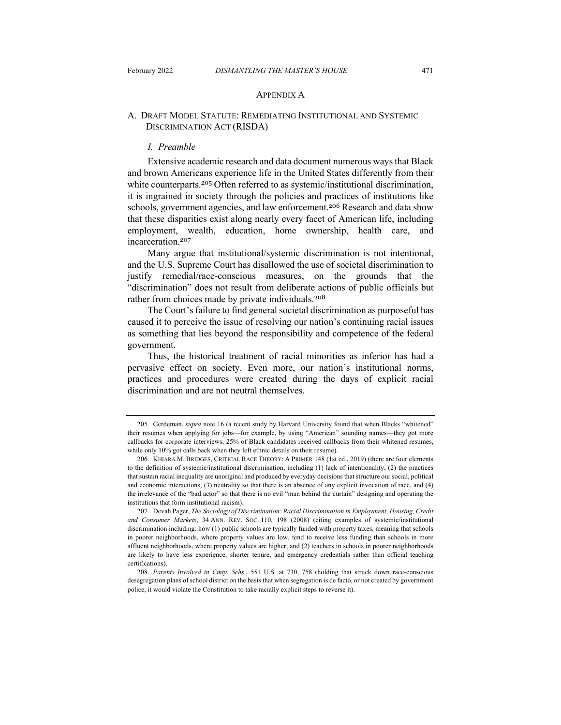#### APPENDIX A

## A. DRAFT MODEL STATUTE: REMEDIATING INSTITUTIONAL AND SYSTEMIC DISCRIMINATION ACT (RISDA)

## *I. Preamble*

Extensive academic research and data document numerous ways that Black and brown Americans experience life in the United States differently from their white counterparts.<sup>205</sup> Often referred to as systemic/institutional discrimination, it is ingrained in society through the policies and practices of institutions like schools, government agencies, and law enforcement.<sup>206</sup> Research and data show that these disparities exist along nearly every facet of American life, including employment, wealth, education, home ownership, health care, and incarceration.<sup>207</sup>

Many argue that institutional/systemic discrimination is not intentional, and the U.S. Supreme Court has disallowed the use of societal discrimination to justify remedial/race-conscious measures, on the grounds that the "discrimination" does not result from deliberate actions of public officials but rather from choices made by private individuals.<sup>208</sup>

The Court's failure to find general societal discrimination as purposeful has caused it to perceive the issue of resolving our nation's continuing racial issues as something that lies beyond the responsibility and competence of the federal government.

Thus, the historical treatment of racial minorities as inferior has had a pervasive effect on society. Even more, our nation's institutional norms, practices and procedures were created during the days of explicit racial discrimination and are not neutral themselves.

<sup>205.</sup> Gerdeman, *supra* note 16 (a recent study by Harvard University found that when Blacks "whitened" their resumes when applying for jobs—for example, by using "American" sounding names—they got more callbacks for corporate interviews; 25% of Black candidates received callbacks from their whitened resumes, while only 10% got calls back when they left ethnic details on their resume).

<sup>206.</sup> KHIARA M. BRIDGES, CRITICAL RACE THEORY: A PRIMER 148 (1st ed., 2019) (there are four elements to the definition of systemic/institutional discrimination, including (1) lack of intentionality, (2) the practices that sustain racial inequality are unoriginal and produced by everyday decisions that structure our social, political and economic interactions, (3) neutrality so that there is an absence of any explicit invocation of race, and (4) the irrelevance of the "bad actor" so that there is no evil "man behind the curtain" designing and operating the institutions that form institutional racism).

<sup>207.</sup> Devah Pager, *The Sociology of Discrimination: Racial Discrimination in Employment, Housing, Credit and Consumer Markets*, 34 ANN. REV. SOC. 110, 198 (2008) (citing examples of systemic/institutional discrimination including: how (1) public schools are typically funded with property taxes, meaning that schools in poorer neighborhoods, where property values are low, tend to receive less funding than schools in more affluent neighborhoods, where property values are higher; and (2) teachers in schools in poorer neighborhoods are likely to have less experience, shorter tenure, and emergency credentials rather than official teaching certifications).

<sup>208.</sup> *Parents Involved in Cmty. Schs.*, 551 U.S. at 730, 758 (holding that struck down race-conscious desegregation plans of school district on the basis that when segregation is de facto, or not created by government police, it would violate the Constitution to take racially explicit steps to reverse it).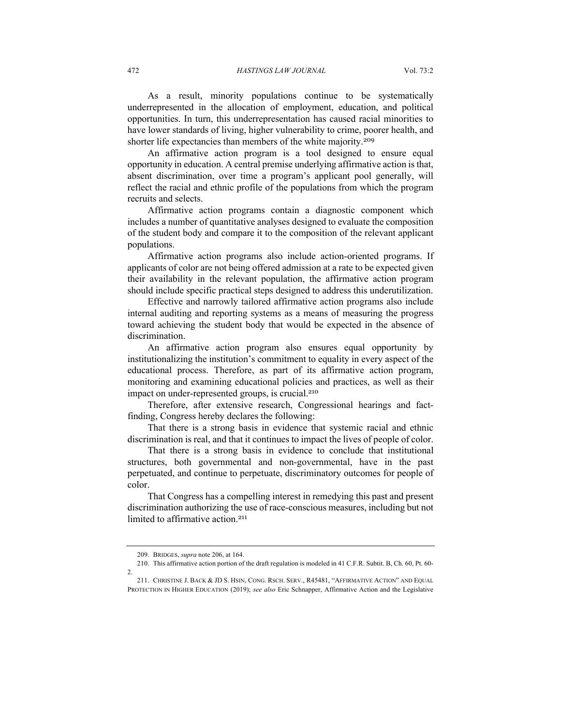As a result, minority populations continue to be systematically underrepresented in the allocation of employment, education, and political opportunities. In turn, this underrepresentation has caused racial minorities to have lower standards of living, higher vulnerability to crime, poorer health, and shorter life expectancies than members of the white majority.<sup>209</sup>

An affirmative action program is a tool designed to ensure equal opportunity in education. A central premise underlying affirmative action is that, absent discrimination, over time a program's applicant pool generally, will reflect the racial and ethnic profile of the populations from which the program recruits and selects.

Affirmative action programs contain a diagnostic component which includes a number of quantitative analyses designed to evaluate the composition of the student body and compare it to the composition of the relevant applicant populations.

Affirmative action programs also include action-oriented programs. If applicants of color are not being offered admission at a rate to be expected given their availability in the relevant population, the affirmative action program should include specific practical steps designed to address this underutilization.

Effective and narrowly tailored affirmative action programs also include internal auditing and reporting systems as a means of measuring the progress toward achieving the student body that would be expected in the absence of discrimination.

An affirmative action program also ensures equal opportunity by institutionalizing the institution's commitment to equality in every aspect of the educational process. Therefore, as part of its affirmative action program, monitoring and examining educational policies and practices, as well as their impact on under-represented groups, is crucial. 210

Therefore, after extensive research, Congressional hearings and factfinding, Congress hereby declares the following:

That there is a strong basis in evidence that systemic racial and ethnic discrimination is real, and that it continues to impact the lives of people of color.

That there is a strong basis in evidence to conclude that institutional structures, both governmental and non-governmental, have in the past perpetuated, and continue to perpetuate, discriminatory outcomes for people of color.

That Congress has a compelling interest in remedying this past and present discrimination authorizing the use of race-conscious measures, including but not limited to affirmative action.<sup>211</sup>

<sup>209.</sup> BRIDGES, *supra* note 206, at 164.

<sup>210.</sup> This affirmative action portion of the draft regulation is modeled in 41 C.F.R. Subtit. B, Ch. 60, Pt. 60-  $\mathcal{L}$ 

<sup>211.</sup> CHRISTINE J. BACK & JD S. HSIN, CONG. RSCH. SERV., R45481, "AFFIRMATIVE ACTION" AND EQUAL PROTECTION IN HIGHER EDUCATION (2019); *see also* Eric Schnapper, Affirmative Action and the Legislative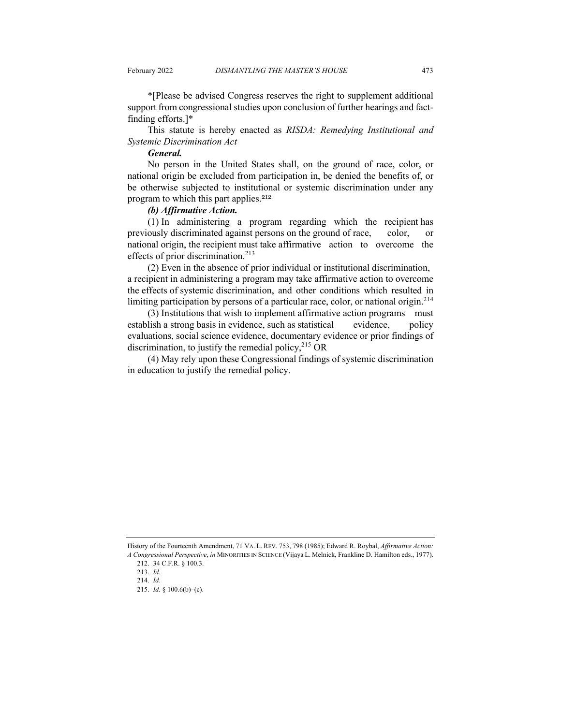\*[Please be advised Congress reserves the right to supplement additional support from congressional studies upon conclusion of further hearings and factfinding efforts.]\*

This statute is hereby enacted as *RISDA: Remedying Institutional and Systemic Discrimination Act*

## *General.*

No person in the United States shall, on the ground of race, color, or national origin be excluded from participation in, be denied the benefits of, or be otherwise subjected to institutional or systemic discrimination under any program to which this part applies.<sup>212</sup>

## *(b) Affirmative Action.*

(1) In administering a program regarding which the recipient has previously discriminated against persons on the ground of race, color, or national origin, the recipient must take affirmative action to overcome the effects of prior discrimination.<sup>213</sup>

(2) Even in the absence of prior individual or institutional discrimination, a recipient in administering a program may take affirmative action to overcome the effects of systemic discrimination, and other conditions which resulted in limiting participation by persons of a particular race, color, or national origin.<sup>214</sup>

(3) Institutions that wish to implement affirmative action programs must establish a strong basis in evidence, such as statistical evidence, policy evaluations, social science evidence, documentary evidence or prior findings of discrimination, to justify the remedial policy,  $^{215}$  OR

(4) May rely upon these Congressional findings of systemic discrimination in education to justify the remedial policy.

History of the Fourteenth Amendment, 71 VA. L. REV. 753, 798 (1985); Edward R. Roybal, *Affirmative Action: A Congressional Perspective*, *in* MINORITIES IN SCIENCE (Vijaya L. Melnick, Frankline D. Hamilton eds., 1977).

<sup>212.</sup> 34 C.F.R. § 100.3.

<sup>213.</sup> *Id*.

<sup>214.</sup> *Id*.

<sup>215.</sup> *Id.* § 100.6(b)–(c).